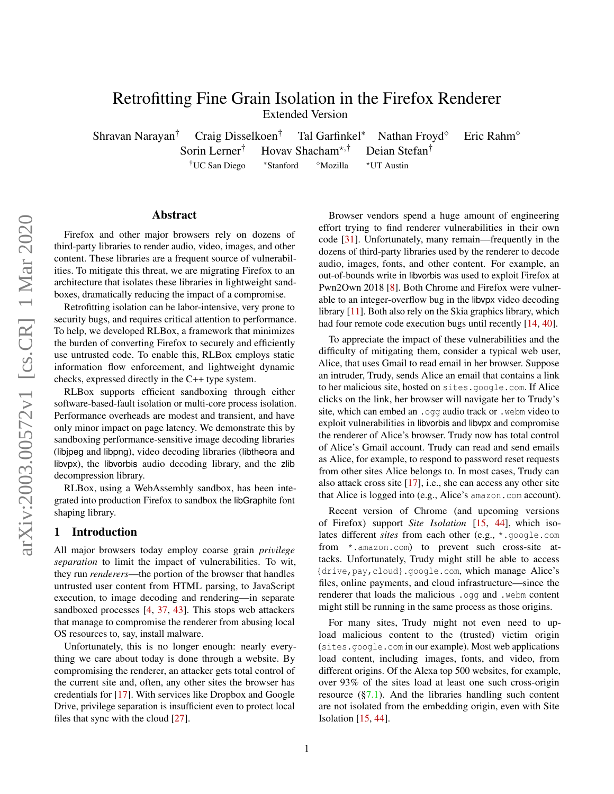# Retrofitting Fine Grain Isolation in the Firefox Renderer

Extended Version

Shravan Narayan<sup>†</sup> Craig Disselkoen<sup>†</sup> Tal Garfinkel<sup>\*</sup> Nathan Froyd<sup>o</sup> Eric Rahm<sup>o</sup> Sorin Lerner<sup>†</sup> Hovav Shacham<sup>\*,†</sup> Deian Stefan<sup>†</sup> †UC San Diego \*Stanford <sup>⊗</sup>Mozilla \*UT Austin

### Abstract

Firefox and other major browsers rely on dozens of third-party libraries to render audio, video, images, and other content. These libraries are a frequent source of vulnerabilities. To mitigate this threat, we are migrating Firefox to an architecture that isolates these libraries in lightweight sandboxes, dramatically reducing the impact of a compromise.

Retrofitting isolation can be labor-intensive, very prone to security bugs, and requires critical attention to performance. To help, we developed RLBox, a framework that minimizes the burden of converting Firefox to securely and efficiently use untrusted code. To enable this, RLBox employs static information flow enforcement, and lightweight dynamic checks, expressed directly in the C++ type system.

RLBox supports efficient sandboxing through either software-based-fault isolation or multi-core process isolation. Performance overheads are modest and transient, and have only minor impact on page latency. We demonstrate this by sandboxing performance-sensitive image decoding libraries (libjpeg and libpng), video decoding libraries (libtheora and libvpx), the libvorbis audio decoding library, and the zlib decompression library.

RLBox, using a WebAssembly sandbox, has been integrated into production Firefox to sandbox the libGraphite font shaping library.

### <span id="page-0-0"></span>1 Introduction

All major browsers today employ coarse grain *privilege separation* to limit the impact of vulnerabilities. To wit, they run *renderers*—the portion of the browser that handles untrusted user content from HTML parsing, to JavaScript execution, to image decoding and rendering—in separate sandboxed processes [\[4,](#page-17-0) [37,](#page-18-0) [43\]](#page-18-1). This stops web attackers that manage to compromise the renderer from abusing local OS resources to, say, install malware.

Unfortunately, this is no longer enough: nearly everything we care about today is done through a website. By compromising the renderer, an attacker gets total control of the current site and, often, any other sites the browser has credentials for [\[17\]](#page-17-1). With services like Dropbox and Google Drive, privilege separation is insufficient even to protect local files that sync with the cloud [\[27\]](#page-17-2).

Browser vendors spend a huge amount of engineering effort trying to find renderer vulnerabilities in their own code [\[31\]](#page-18-2). Unfortunately, many remain—frequently in the dozens of third-party libraries used by the renderer to decode audio, images, fonts, and other content. For example, an out-of-bounds write in libvorbis was used to exploit Firefox at Pwn2Own 2018 [\[8\]](#page-17-3). Both Chrome and Firefox were vulnerable to an integer-overflow bug in the libvpx video decoding library [\[11\]](#page-17-4). Both also rely on the Skia graphics library, which had four remote code execution bugs until recently [\[14,](#page-17-5) [40\]](#page-18-3).

To appreciate the impact of these vulnerabilities and the difficulty of mitigating them, consider a typical web user, Alice, that uses Gmail to read email in her browser. Suppose an intruder, Trudy, sends Alice an email that contains a link to her malicious site, hosted on sites.google.com. If Alice clicks on the link, her browser will navigate her to Trudy's site, which can embed an .ogg audio track or .webm video to exploit vulnerabilities in libvorbis and libvpx and compromise the renderer of Alice's browser. Trudy now has total control of Alice's Gmail account. Trudy can read and send emails as Alice, for example, to respond to password reset requests from other sites Alice belongs to. In most cases, Trudy can also attack cross site [\[17\]](#page-17-1), i.e., she can access any other site that Alice is logged into (e.g., Alice's amazon.com account).

Recent version of Chrome (and upcoming versions of Firefox) support *Site Isolation* [\[15,](#page-17-6) [44\]](#page-18-4), which isolates different *sites* from each other (e.g., \*.google.com from \*.amazon.com) to prevent such cross-site attacks. Unfortunately, Trudy might still be able to access {drive,pay,cloud}.google.com, which manage Alice's files, online payments, and cloud infrastructure—since the renderer that loads the malicious .ogg and .webm content might still be running in the same process as those origins.

For many sites, Trudy might not even need to upload malicious content to the (trusted) victim origin (sites.google.com in our example). Most web applications load content, including images, fonts, and video, from different origins. Of the Alexa top 500 websites, for example, over 93% of the sites load at least one such cross-origin resource  $(\S7.1)$ . And the libraries handling such content are not isolated from the embedding origin, even with Site Isolation [\[15,](#page-17-6) [44\]](#page-18-4).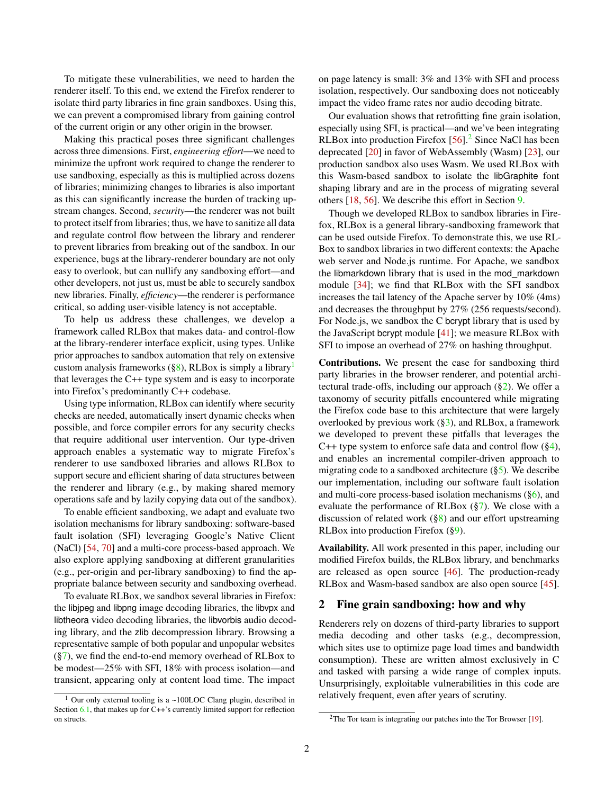To mitigate these vulnerabilities, we need to harden the renderer itself. To this end, we extend the Firefox renderer to isolate third party libraries in fine grain sandboxes. Using this, we can prevent a compromised library from gaining control of the current origin or any other origin in the browser.

Making this practical poses three significant challenges across three dimensions. First, *engineering effort*—we need to minimize the upfront work required to change the renderer to use sandboxing, especially as this is multiplied across dozens of libraries; minimizing changes to libraries is also important as this can significantly increase the burden of tracking upstream changes. Second, *security*—the renderer was not built to protect itself from libraries; thus, we have to sanitize all data and regulate control flow between the library and renderer to prevent libraries from breaking out of the sandbox. In our experience, bugs at the library-renderer boundary are not only easy to overlook, but can nullify any sandboxing effort—and other developers, not just us, must be able to securely sandbox new libraries. Finally, *efficiency*—the renderer is performance critical, so adding user-visible latency is not acceptable.

To help us address these challenges, we develop a framework called RLBox that makes data- and control-flow at the library-renderer interface explicit, using types. Unlike prior approaches to sandbox automation that rely on extensive custom analysis frameworks  $(\S 8)$ , RLBox is simply a library<sup>[1](#page-1-0)</sup> that leverages the C++ type system and is easy to incorporate into Firefox's predominantly C++ codebase.

Using type information, RLBox can identify where security checks are needed, automatically insert dynamic checks when possible, and force compiler errors for any security checks that require additional user intervention. Our type-driven approach enables a systematic way to migrate Firefox's renderer to use sandboxed libraries and allows RLBox to support secure and efficient sharing of data structures between the renderer and library (e.g., by making shared memory operations safe and by lazily copying data out of the sandbox).

To enable efficient sandboxing, we adapt and evaluate two isolation mechanisms for library sandboxing: software-based fault isolation (SFI) leveraging Google's Native Client (NaCl) [\[54,](#page-18-5) [70\]](#page-18-6) and a multi-core process-based approach. We also explore applying sandboxing at different granularities (e.g., per-origin and per-library sandboxing) to find the appropriate balance between security and sandboxing overhead.

To evaluate RLBox, we sandbox several libraries in Firefox: the libjpeg and libpng image decoding libraries, the libvpx and libtheora video decoding libraries, the libvorbis audio decoding library, and the zlib decompression library. Browsing a representative sample of both popular and unpopular websites  $(\frac{87}{8})$ , we find the end-to-end memory overhead of RLBox to be modest—25% with SFI, 18% with process isolation—and transient, appearing only at content load time. The impact

on page latency is small: 3% and 13% with SFI and process isolation, respectively. Our sandboxing does not noticeably impact the video frame rates nor audio decoding bitrate.

Our evaluation shows that retrofitting fine grain isolation, especially using SFI, is practical—and we've been integrating RLBox into production Firefox  $[56]$ <sup>[2](#page-1-1)</sup> Since NaCl has been deprecated [\[20\]](#page-17-7) in favor of WebAssembly (Wasm) [\[23\]](#page-17-8), our production sandbox also uses Wasm. We used RLBox with this Wasm-based sandbox to isolate the libGraphite font shaping library and are in the process of migrating several others [\[18,](#page-17-9) [56\]](#page-18-7). We describe this effort in Section [9.](#page-16-0)

Though we developed RLBox to sandbox libraries in Firefox, RLBox is a general library-sandboxing framework that can be used outside Firefox. To demonstrate this, we use RL-Box to sandbox libraries in two different contexts: the Apache web server and Node.js runtime. For Apache, we sandbox the libmarkdown library that is used in the mod\_markdown module [\[34\]](#page-18-8); we find that RLBox with the SFI sandbox increases the tail latency of the Apache server by 10% (4ms) and decreases the throughput by 27% (256 requests/second). For Node.js, we sandbox the C bcrypt library that is used by the JavaScript bcrypt module [\[41\]](#page-18-9); we measure RLBox with SFI to impose an overhead of 27% on hashing throughput.

Contributions. We present the case for sandboxing third party libraries in the browser renderer, and potential architectural trade-offs, including our approach  $(\S_2)$ . We offer a taxonomy of security pitfalls encountered while migrating the Firefox code base to this architecture that were largely overlooked by previous work  $(\S_3)$ , and RLBox, a framework we developed to prevent these pitfalls that leverages the C++ type system to enforce safe data and control flow  $(\S4)$ , and enables an incremental compiler-driven approach to migrating code to a sandboxed architecture ([§5\)](#page-8-1). We describe our implementation, including our software fault isolation and multi-core process-based isolation mechanisms ([§6\)](#page-8-2), and evaluate the performance of RLBox ([§7\)](#page-10-0). We close with a discussion of related work  $(\S 8)$  and our effort upstreaming RLBox into production Firefox ([§9\)](#page-16-0).

Availability. All work presented in this paper, including our modified Firefox builds, the RLBox library, and benchmarks are released as open source [\[46\]](#page-18-10). The production-ready RLBox and Wasm-based sandbox are also open source [\[45\]](#page-18-11).

### <span id="page-1-2"></span>2 Fine grain sandboxing: how and why

Renderers rely on dozens of third-party libraries to support media decoding and other tasks (e.g., decompression, which sites use to optimize page load times and bandwidth consumption). These are written almost exclusively in C and tasked with parsing a wide range of complex inputs. Unsurprisingly, exploitable vulnerabilities in this code are relatively frequent, even after years of scrutiny.

<span id="page-1-0"></span> $1$  Our only external tooling is a ~100LOC Clang plugin, described in Section  $6.1$ , that makes up for  $C++$ 's currently limited support for reflection on structs.

<span id="page-1-1"></span> $2$ The Tor team is integrating our patches into the Tor Browser [\[19\]](#page-17-10).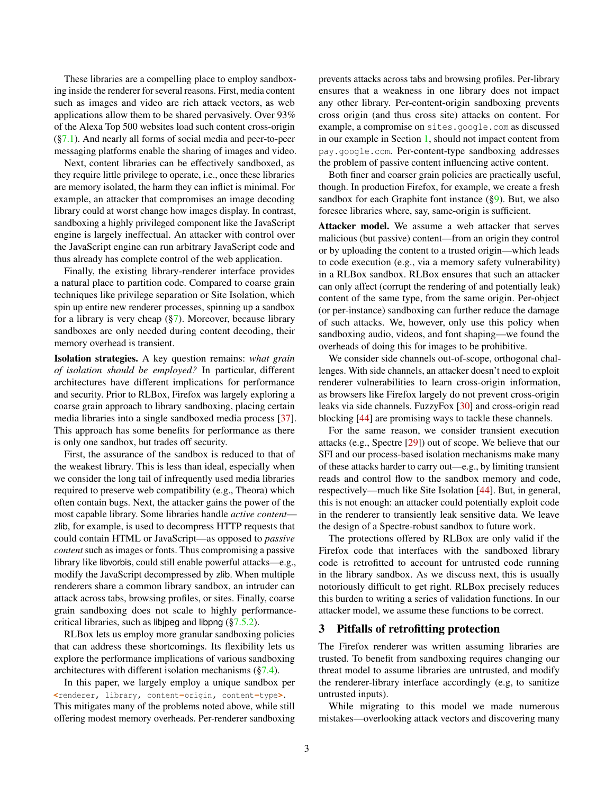These libraries are a compelling place to employ sandboxing inside the renderer for several reasons. First, media content such as images and video are rich attack vectors, as web applications allow them to be shared pervasively. Over 93% of the Alexa Top 500 websites load such content cross-origin  $(\S7.1)$ . And nearly all forms of social media and peer-to-peer messaging platforms enable the sharing of images and video.

Next, content libraries can be effectively sandboxed, as they require little privilege to operate, i.e., once these libraries are memory isolated, the harm they can inflict is minimal. For example, an attacker that compromises an image decoding library could at worst change how images display. In contrast, sandboxing a highly privileged component like the JavaScript engine is largely ineffectual. An attacker with control over the JavaScript engine can run arbitrary JavaScript code and thus already has complete control of the web application.

Finally, the existing library-renderer interface provides a natural place to partition code. Compared to coarse grain techniques like privilege separation or Site Isolation, which spin up entire new renderer processes, spinning up a sandbox for a library is very cheap  $(\S7)$ . Moreover, because library sandboxes are only needed during content decoding, their memory overhead is transient.

Isolation strategies. A key question remains: *what grain of isolation should be employed?* In particular, different architectures have different implications for performance and security. Prior to RLBox, Firefox was largely exploring a coarse grain approach to library sandboxing, placing certain media libraries into a single sandboxed media process [\[37\]](#page-18-0). This approach has some benefits for performance as there is only one sandbox, but trades off security.

First, the assurance of the sandbox is reduced to that of the weakest library. This is less than ideal, especially when we consider the long tail of infrequently used media libraries required to preserve web compatibility (e.g., Theora) which often contain bugs. Next, the attacker gains the power of the most capable library. Some libraries handle *active content* zlib, for example, is used to decompress HTTP requests that could contain HTML or JavaScript—as opposed to *passive content* such as images or fonts. Thus compromising a passive library like libvorbis, could still enable powerful attacks—e.g., modify the JavaScript decompressed by zlib. When multiple renderers share a common library sandbox, an intruder can attack across tabs, browsing profiles, or sites. Finally, coarse grain sandboxing does not scale to highly performancecritical libraries, such as libjpeg and libpng ([§7.5.2\)](#page-13-0).

RLBox lets us employ more granular sandboxing policies that can address these shortcomings. Its flexibility lets us explore the performance implications of various sandboxing architectures with different isolation mechanisms ([§7.4\)](#page-12-0).

In this paper, we largely employ a unique sandbox per **<**renderer**,** library**,** content**-**origin**,** content**-**type**>**. This mitigates many of the problems noted above, while still offering modest memory overheads. Per-renderer sandboxing

prevents attacks across tabs and browsing profiles. Per-library ensures that a weakness in one library does not impact any other library. Per-content-origin sandboxing prevents cross origin (and thus cross site) attacks on content. For example, a compromise on sites.google.com as discussed in our example in Section [1,](#page-0-0) should not impact content from pay.google.com. Per-content-type sandboxing addresses the problem of passive content influencing active content.

Both finer and coarser grain policies are practically useful, though. In production Firefox, for example, we create a fresh sandbox for each Graphite font instance  $(\S 9)$ . But, we also foresee libraries where, say, same-origin is sufficient.

Attacker model. We assume a web attacker that serves malicious (but passive) content—from an origin they control or by uploading the content to a trusted origin—which leads to code execution (e.g., via a memory safety vulnerability) in a RLBox sandbox. RLBox ensures that such an attacker can only affect (corrupt the rendering of and potentially leak) content of the same type, from the same origin. Per-object (or per-instance) sandboxing can further reduce the damage of such attacks. We, however, only use this policy when sandboxing audio, videos, and font shaping—we found the overheads of doing this for images to be prohibitive.

We consider side channels out-of-scope, orthogonal challenges. With side channels, an attacker doesn't need to exploit renderer vulnerabilities to learn cross-origin information, as browsers like Firefox largely do not prevent cross-origin leaks via side channels. FuzzyFox [\[30\]](#page-17-11) and cross-origin read blocking [\[44\]](#page-18-4) are promising ways to tackle these channels.

For the same reason, we consider transient execution attacks (e.g., Spectre [\[29\]](#page-17-12)) out of scope. We believe that our SFI and our process-based isolation mechanisms make many of these attacks harder to carry out—e.g., by limiting transient reads and control flow to the sandbox memory and code, respectively—much like Site Isolation [\[44\]](#page-18-4). But, in general, this is not enough: an attacker could potentially exploit code in the renderer to transiently leak sensitive data. We leave the design of a Spectre-robust sandbox to future work.

The protections offered by RLBox are only valid if the Firefox code that interfaces with the sandboxed library code is retrofitted to account for untrusted code running in the library sandbox. As we discuss next, this is usually notoriously difficult to get right. RLBox precisely reduces this burden to writing a series of validation functions. In our attacker model, we assume these functions to be correct.

#### <span id="page-2-0"></span>3 Pitfalls of retrofitting protection

The Firefox renderer was written assuming libraries are trusted. To benefit from sandboxing requires changing our threat model to assume libraries are untrusted, and modify the renderer-library interface accordingly (e.g, to sanitize untrusted inputs).

While migrating to this model we made numerous mistakes—overlooking attack vectors and discovering many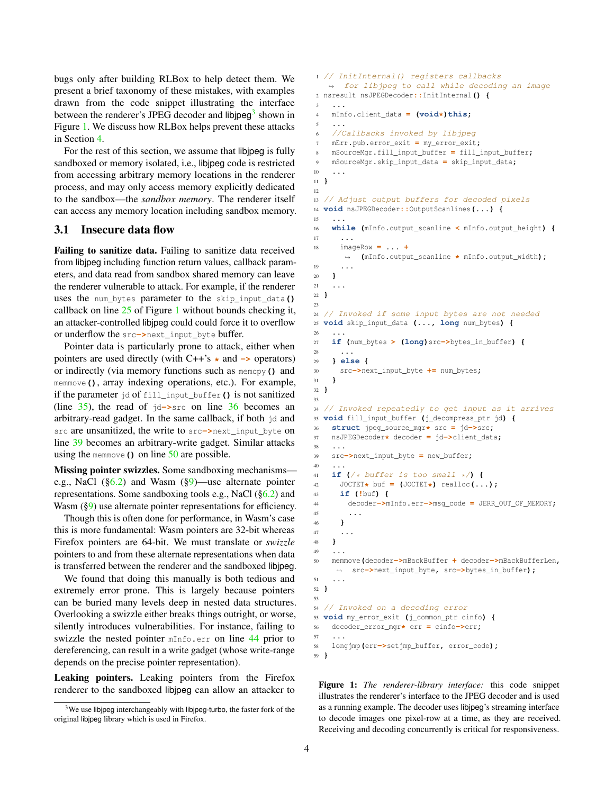bugs only after building RLBox to help detect them. We present a brief taxonomy of these mistakes, with examples drawn from the code snippet illustrating the interface between the renderer's JPEG decoder and libjpeg<sup>[3](#page-3-0)</sup> shown in Figure [1.](#page-3-1) We discuss how RLBox helps prevent these attacks in Section [4.](#page-4-0)

For the rest of this section, we assume that libjpeg is fully sandboxed or memory isolated, i.e., libjpeg code is restricted from accessing arbitrary memory locations in the renderer process, and may only access memory explicitly dedicated to the sandbox—the *sandbox memory*. The renderer itself can access any memory location including sandbox memory.

#### 3.1 Insecure data flow

Failing to sanitize data. Failing to sanitize data received from libjpeg including function return values, callback parameters, and data read from sandbox shared memory can leave the renderer vulnerable to attack. For example, if the renderer uses the num\_bytes parameter to the skip\_input\_data**()** callback on line [25](#page-3-1) of Figure [1](#page-3-1) without bounds checking it, an attacker-controlled libjpeg could could force it to overflow or underflow the src**->**next\_input\_byte buffer.

Pointer data is particularly prone to attack, either when pointers are used directly (with C++'s **\*** and **->** operators) or indirectly (via memory functions such as memcpy**()** and memmove**()**, array indexing operations, etc.). For example, if the parameter jd of fill\_input\_buffer**()** is not sanitized (line [35\)](#page-3-1), the read of jd**->**src on line [36](#page-3-1) becomes an arbitrary-read gadget. In the same callback, if both jd and src are unsanitized, the write to src**->**next\_input\_byte on line [39](#page-3-1) becomes an arbitrary-write gadget. Similar attacks using the memmove**()** on line [50](#page-3-1) are possible.

Missing pointer swizzles. Some sandboxing mechanisms e.g., NaCl  $(\S6.2)$  and Wasm  $(\S9)$ —use alternate pointer representations. Some sandboxing tools e.g., NaCl ([§6.2\)](#page-9-0) and Wasm ([§9\)](#page-16-0) use alternate pointer representations for efficiency.

Though this is often done for performance, in Wasm's case this is more fundamental: Wasm pointers are 32-bit whereas Firefox pointers are 64-bit. We must translate or *swizzle* pointers to and from these alternate representations when data is transferred between the renderer and the sandboxed libjpeg.

We found that doing this manually is both tedious and extremely error prone. This is largely because pointers can be buried many levels deep in nested data structures. Overlooking a swizzle either breaks things outright, or worse, silently introduces vulnerabilities. For instance, failing to swizzle the nested pointer mInfo**.**err on line [44](#page-3-1) prior to dereferencing, can result in a write gadget (whose write-range depends on the precise pointer representation).

Leaking pointers. Leaking pointers from the Firefox renderer to the sandboxed libjpeg can allow an attacker to

```
1 // InitInternal() registers callbacks
   \rightarrow for libjpeg to call while decoding an image
2 nsresult nsJPEGDecoder::InitInternal() {
 3 ...
4 mInfo.client_data = (void*)this;
 5 ...
6 //Callbacks invoked by libjpeg
7 mErr.pub.error_exit = my_error_exit;
8 mSourceMgr.fill_input_buffer = fill_input_buffer;
9 mSourceMgr.skip_input_data = skip_input_data;
10 ...
11 }
12
13 // Adjust output buffers for decoded pixels
14 void nsJPEGDecoder::OutputScanlines(...) {
15 ...
16 while (mInfo.output_scanline < mInfo.output_height) {
17 ...
18 imageRow = ... +
      ,→ (mInfo.output_scanline * mInfo.output_width);
19 ...
20 }
21 ...
22 }
23
24 // Invoked if some input bytes are not needed
25 void skip_input_data (..., long num_bytes) {
26 ...
27 if (num_bytes > (long)src->bytes_in_buffer) {
28 ...
29 } else {
30 src->next_input_byte += num_bytes;
31 }
32 }
33
34 // Invoked repeatedly to get input as it arrives
35 void fill_input_buffer (j_decompress_ptr jd) {
36 struct jpeg_source_mgr* src = jd->src;
    37 nsJPEGDecoder* decoder = jd->client_data;
38 ...
39 src->next_input_byte = new_buffer;
40 ...
41 if (\frac{\times}{\sqrt{6}} \text{buffer is too small} \times /)(<br>42 JOCTET* buf = (\text{JOCTET*}) \text{realloc}(.
     JOCTET* buf = (JOCTET*) realloc(...);43 if (!buf) {
44 decoder->mInfo.err->msg_code = JERR_OUT_OF_MEMORY;
45 ...
46 }
47 ...
48 }
49 ...
50 memmove(decoder->mBackBuffer + decoder->mBackBufferLen,
    ,→ src->next_input_byte, src->bytes_in_buffer);
51 ...
52 }
53
54 // Invoked on a decoding error
55 void my_error_exit (j_common_ptr cinfo) {
56 decoder_error_mgr* err = cinfo->err;
57 ...
58 longjmp(err->setjmp_buffer, error_code);
59 }
```
Figure 1: *The renderer-library interface:* this code snippet illustrates the renderer's interface to the JPEG decoder and is used as a running example. The decoder uses libjpeg's streaming interface to decode images one pixel-row at a time, as they are received. Receiving and decoding concurrently is critical for responsiveness.

<span id="page-3-0"></span> $3$ We use libipeg interchangeably with libipeg-turbo, the faster fork of the original libjpeg library which is used in Firefox.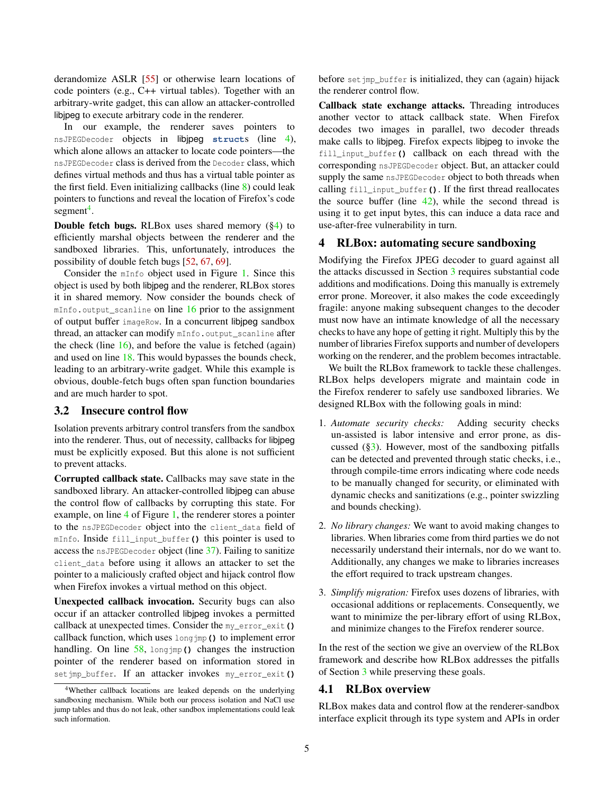derandomize ASLR [\[55\]](#page-18-12) or otherwise learn locations of code pointers (e.g., C++ virtual tables). Together with an arbitrary-write gadget, this can allow an attacker-controlled libjpeg to execute arbitrary code in the renderer.

In our example, the renderer saves pointers to nsJPEGDecoder objects in libjpeg **struct**s (line [4\)](#page-3-1), which alone allows an attacker to locate code pointers—the nsJPEGDecoder class is derived from the Decoder class, which defines virtual methods and thus has a virtual table pointer as the first field. Even initializing callbacks (line [8\)](#page-3-1) could leak pointers to functions and reveal the location of Firefox's code segment<sup>[4](#page-4-1)</sup>.

Double fetch bugs. RLBox uses shared memory ([§4\)](#page-4-0) to efficiently marshal objects between the renderer and the sandboxed libraries. This, unfortunately, introduces the possibility of double fetch bugs [\[52,](#page-18-13) [67,](#page-18-14) [69\]](#page-18-15).

Consider the mInfo object used in Figure [1.](#page-3-1) Since this object is used by both libjpeg and the renderer, RLBox stores it in shared memory. Now consider the bounds check of mInfo**.**output\_scanline on line [16](#page-3-1) prior to the assignment of output buffer imageRow. In a concurrent libjpeg sandbox thread, an attacker can modify mInfo**.**output\_scanline after the check (line [16\)](#page-3-1), and before the value is fetched (again) and used on line [18.](#page-3-1) This would bypasses the bounds check, leading to an arbitrary-write gadget. While this example is obvious, double-fetch bugs often span function boundaries and are much harder to spot.

#### 3.2 Insecure control flow

Isolation prevents arbitrary control transfers from the sandbox into the renderer. Thus, out of necessity, callbacks for libjpeg must be explicitly exposed. But this alone is not sufficient to prevent attacks.

Corrupted callback state. Callbacks may save state in the sandboxed library. An attacker-controlled libjpeg can abuse the control flow of callbacks by corrupting this state. For example, on line [4](#page-3-1) of Figure [1,](#page-3-1) the renderer stores a pointer to the nsJPEGDecoder object into the client\_data field of mInfo. Inside fill\_input\_buffer**()** this pointer is used to access the nsJPEGDecoder object (line [37\)](#page-3-1). Failing to sanitize client\_data before using it allows an attacker to set the pointer to a maliciously crafted object and hijack control flow when Firefox invokes a virtual method on this object.

Unexpected callback invocation. Security bugs can also occur if an attacker controlled libjpeg invokes a permitted callback at unexpected times. Consider the my\_error\_exit**()** callback function, which uses longjmp**()** to implement error handling. On line [58,](#page-3-1) longjmp**()** changes the instruction pointer of the renderer based on information stored in setjmp\_buffer. If an attacker invokes my\_error\_exit**()**

before set imp buffer is initialized, they can (again) hijack the renderer control flow.

Callback state exchange attacks. Threading introduces another vector to attack callback state. When Firefox decodes two images in parallel, two decoder threads make calls to libjpeg. Firefox expects libjpeg to invoke the fill\_input\_buffer**()** callback on each thread with the corresponding nsJPEGDecoder object. But, an attacker could supply the same nsJPEGDecoder object to both threads when calling fill\_input\_buffer**()**. If the first thread reallocates the source buffer (line  $42$ ), while the second thread is using it to get input bytes, this can induce a data race and use-after-free vulnerability in turn.

### <span id="page-4-0"></span>4 RLBox: automating secure sandboxing

Modifying the Firefox JPEG decoder to guard against all the attacks discussed in Section [3](#page-2-0) requires substantial code additions and modifications. Doing this manually is extremely error prone. Moreover, it also makes the code exceedingly fragile: anyone making subsequent changes to the decoder must now have an intimate knowledge of all the necessary checks to have any hope of getting it right. Multiply this by the number of libraries Firefox supports and number of developers working on the renderer, and the problem becomes intractable.

We built the RLBox framework to tackle these challenges. RLBox helps developers migrate and maintain code in the Firefox renderer to safely use sandboxed libraries. We designed RLBox with the following goals in mind:

- 1. *Automate security checks:* Adding security checks un-assisted is labor intensive and error prone, as discussed  $(\S_3)$ . However, most of the sandboxing pitfalls can be detected and prevented through static checks, i.e., through compile-time errors indicating where code needs to be manually changed for security, or eliminated with dynamic checks and sanitizations (e.g., pointer swizzling and bounds checking).
- 2. *No library changes:* We want to avoid making changes to libraries. When libraries come from third parties we do not necessarily understand their internals, nor do we want to. Additionally, any changes we make to libraries increases the effort required to track upstream changes.
- 3. *Simplify migration:* Firefox uses dozens of libraries, with occasional additions or replacements. Consequently, we want to minimize the per-library effort of using RLBox, and minimize changes to the Firefox renderer source.

In the rest of the section we give an overview of the RLBox framework and describe how RLBox addresses the pitfalls of Section [3](#page-2-0) while preserving these goals.

### 4.1 RLBox overview

RLBox makes data and control flow at the renderer-sandbox interface explicit through its type system and APIs in order

<span id="page-4-1"></span><sup>4</sup>Whether callback locations are leaked depends on the underlying sandboxing mechanism. While both our process isolation and NaCl use jump tables and thus do not leak, other sandbox implementations could leak such information.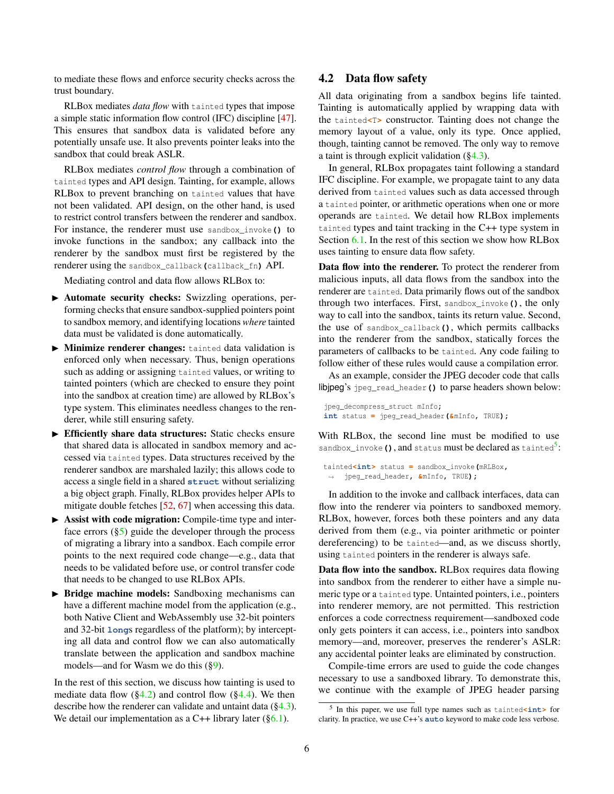to mediate these flows and enforce security checks across the trust boundary.

RLBox mediates *data flow* with tainted types that impose a simple static information flow control (IFC) discipline [\[47\]](#page-18-16). This ensures that sandbox data is validated before any potentially unsafe use. It also prevents pointer leaks into the sandbox that could break ASLR.

RLBox mediates *control flow* through a combination of tainted types and API design. Tainting, for example, allows RLBox to prevent branching on tainted values that have not been validated. API design, on the other hand, is used to restrict control transfers between the renderer and sandbox. For instance, the renderer must use sandbox\_invoke**()** to invoke functions in the sandbox; any callback into the renderer by the sandbox must first be registered by the renderer using the sandbox\_callback**(**callback\_fn**)** API.

Mediating control and data flow allows RLBox to:

- $\blacktriangleright$  Automate security checks: Swizzling operations, performing checks that ensure sandbox-supplied pointers point to sandbox memory, and identifying locations *where* tainted data must be validated is done automatically.
- $\blacktriangleright$  Minimize renderer changes: tainted data validation is enforced only when necessary. Thus, benign operations such as adding or assigning tainted values, or writing to tainted pointers (which are checked to ensure they point into the sandbox at creation time) are allowed by RLBox's type system. This eliminates needless changes to the renderer, while still ensuring safety.
- $\triangleright$  Efficiently share data structures: Static checks ensure that shared data is allocated in sandbox memory and accessed via tainted types. Data structures received by the renderer sandbox are marshaled lazily; this allows code to access a single field in a shared **struct** without serializing a big object graph. Finally, RLBox provides helper APIs to mitigate double fetches [\[52,](#page-18-13) [67\]](#page-18-14) when accessing this data.
- $\triangleright$  Assist with code migration: Compile-time type and interface errors  $(\S5)$  guide the developer through the process of migrating a library into a sandbox. Each compile error points to the next required code change—e.g., data that needs to be validated before use, or control transfer code that needs to be changed to use RLBox APIs.
- $\triangleright$  Bridge machine models: Sandboxing mechanisms can have a different machine model from the application (e.g., both Native Client and WebAssembly use 32-bit pointers and 32-bit **long**s regardless of the platform); by intercepting all data and control flow we can also automatically translate between the application and sandbox machine models—and for Wasm we do this ([§9\)](#page-16-0).

<span id="page-5-0"></span>In the rest of this section, we discuss how tainting is used to mediate data flow  $(\S4.2)$  and control flow  $(\S4.4)$ . We then describe how the renderer can validate and untaint data ([§4.3\)](#page-6-0). We detail our implementation as a C++ library later  $(\S6.1)$ .

## 4.2 Data flow safety

All data originating from a sandbox begins life tainted. Tainting is automatically applied by wrapping data with the tainted**<**T**>** constructor. Tainting does not change the memory layout of a value, only its type. Once applied, though, tainting cannot be removed. The only way to remove a taint is through explicit validation ([§4.3\)](#page-6-0).

In general, RLBox propagates taint following a standard IFC discipline. For example, we propagate taint to any data derived from tainted values such as data accessed through a tainted pointer, or arithmetic operations when one or more operands are tainted. We detail how RLBox implements tainted types and taint tracking in the C++ type system in Section [6.1.](#page-8-0) In the rest of this section we show how RLBox uses tainting to ensure data flow safety.

Data flow into the renderer. To protect the renderer from malicious inputs, all data flows from the sandbox into the renderer are tainted. Data primarily flows out of the sandbox through two interfaces. First, sandbox\_invoke**()**, the only way to call into the sandbox, taints its return value. Second, the use of sandbox\_callback**()**, which permits callbacks into the renderer from the sandbox, statically forces the parameters of callbacks to be tainted. Any code failing to follow either of these rules would cause a compilation error.

As an example, consider the JPEG decoder code that calls libjpeg's jpeg\_read\_header**()** to parse headers shown below:

```
jpeg_decompress_struct mInfo;
int status = jpeg_read_header(&mInfo, TRUE);
```
With RLBox, the second line must be modified to use sandbox\_invoke (), and status must be declared as tainted<sup>[5](#page-5-1)</sup>:

```
tainted<int> status = sandbox_invoke(mRLBox,
 ,→ jpeg_read_header, &mInfo, TRUE);
```
In addition to the invoke and callback interfaces, data can flow into the renderer via pointers to sandboxed memory. RLBox, however, forces both these pointers and any data derived from them (e.g., via pointer arithmetic or pointer dereferencing) to be tainted—and, as we discuss shortly, using tainted pointers in the renderer is always safe.

Data flow into the sandbox. RLBox requires data flowing into sandbox from the renderer to either have a simple numeric type or a tainted type. Untainted pointers, i.e., pointers into renderer memory, are not permitted. This restriction enforces a code correctness requirement—sandboxed code only gets pointers it can access, i.e., pointers into sandbox memory—and, moreover, preserves the renderer's ASLR: any accidental pointer leaks are eliminated by construction.

Compile-time errors are used to guide the code changes necessary to use a sandboxed library. To demonstrate this, we continue with the example of JPEG header parsing

<span id="page-5-1"></span><sup>5</sup> In this paper, we use full type names such as tainted**<int>** for clarity. In practice, we use C++'s **auto** keyword to make code less verbose.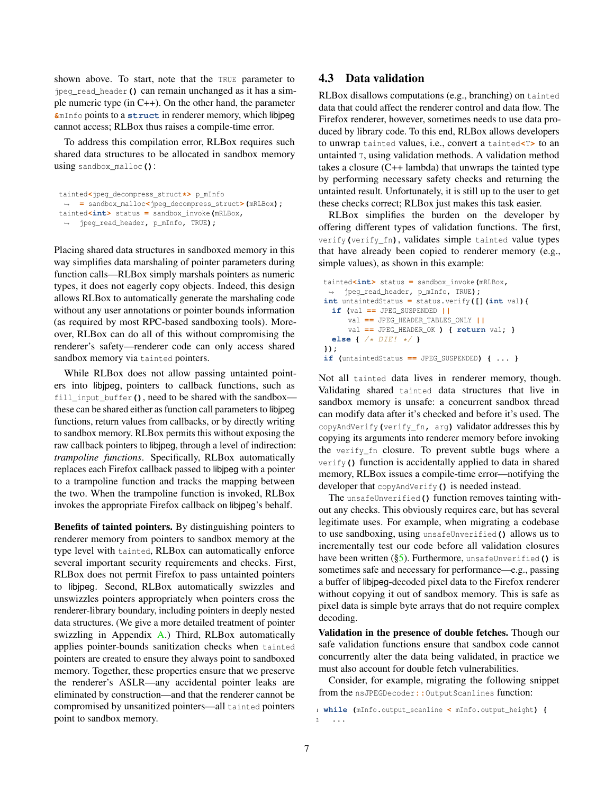shown above. To start, note that the TRUE parameter to jpeg\_read\_header**()** can remain unchanged as it has a simple numeric type (in C++). On the other hand, the parameter **&**mInfo points to a **struct** in renderer memory, which libjpeg cannot access; RLBox thus raises a compile-time error.

To address this compilation error, RLBox requires such shared data structures to be allocated in sandbox memory using sandbox\_malloc**()**:

```
tainted<jpeg_decompress_struct*> p_mInfo
,→ = sandbox_malloc<jpeg_decompress_struct>(mRLBox);
tainted<int> status = sandbox_invoke(mRLBox,
 ,→ jpeg_read_header, p_mInfo, TRUE);
```
Placing shared data structures in sandboxed memory in this way simplifies data marshaling of pointer parameters during function calls—RLBox simply marshals pointers as numeric types, it does not eagerly copy objects. Indeed, this design allows RLBox to automatically generate the marshaling code without any user annotations or pointer bounds information (as required by most RPC-based sandboxing tools). Moreover, RLBox can do all of this without compromising the renderer's safety—renderer code can only access shared sandbox memory via tainted pointers.

While RLBox does not allow passing untainted pointers into libjpeg, pointers to callback functions, such as fill\_input\_buffer**()**, need to be shared with the sandbox these can be shared either as function call parameters to libjpeg functions, return values from callbacks, or by directly writing to sandbox memory. RLBox permits this without exposing the raw callback pointers to libjpeg, through a level of indirection: *trampoline functions*. Specifically, RLBox automatically replaces each Firefox callback passed to libjpeg with a pointer to a trampoline function and tracks the mapping between the two. When the trampoline function is invoked, RLBox invokes the appropriate Firefox callback on libjpeg's behalf.

<span id="page-6-0"></span>Benefits of tainted pointers. By distinguishing pointers to renderer memory from pointers to sandbox memory at the type level with tainted, RLBox can automatically enforce several important security requirements and checks. First, RLBox does not permit Firefox to pass untainted pointers to libjpeg. Second, RLBox automatically swizzles and unswizzles pointers appropriately when pointers cross the renderer-library boundary, including pointers in deeply nested data structures. (We give a more detailed treatment of pointer swizzling in Appendix [A.](#page-19-0)) Third, RLBox automatically applies pointer-bounds sanitization checks when tainted pointers are created to ensure they always point to sandboxed memory. Together, these properties ensure that we preserve the renderer's ASLR—any accidental pointer leaks are eliminated by construction—and that the renderer cannot be compromised by unsanitized pointers—all tainted pointers point to sandbox memory.

### 4.3 Data validation

RLBox disallows computations (e.g., branching) on tainted data that could affect the renderer control and data flow. The Firefox renderer, however, sometimes needs to use data produced by library code. To this end, RLBox allows developers to unwrap tainted values, i.e., convert a tainted**<**T**>** to an untainted T, using validation methods. A validation method takes a closure (C++ lambda) that unwraps the tainted type by performing necessary safety checks and returning the untainted result. Unfortunately, it is still up to the user to get these checks correct; RLBox just makes this task easier.

RLBox simplifies the burden on the developer by offering different types of validation functions. The first, verify**(**verify\_fn**)**, validates simple tainted value types that have already been copied to renderer memory (e.g., simple values), as shown in this example:

```
tainted<int> status = sandbox_invoke(mRLBox,
,→ jpeg_read_header, p_mInfo, TRUE);
int untaintedStatus = status.verify([](int val){
 if (val == JPEG_SUSPENDED ||
     val == JPEG_HEADER_TABLES_ONLY ||
     val == JPEG_HEADER_OK ) { return val; }
 else { /* DIE! */ }
});
if (untaintedStatus == JPEG_SUSPENDED) { ... }
```
Not all tainted data lives in renderer memory, though. Validating shared tainted data structures that live in sandbox memory is unsafe: a concurrent sandbox thread can modify data after it's checked and before it's used. The copyAndVerify**(**verify\_fn**,** arg**)** validator addresses this by copying its arguments into renderer memory before invoking the verify\_fn closure. To prevent subtle bugs where a verify**()** function is accidentally applied to data in shared memory, RLBox issues a compile-time error—notifying the developer that copyAndVerify**()** is needed instead.

The unsafeUnverified**()** function removes tainting without any checks. This obviously requires care, but has several legitimate uses. For example, when migrating a codebase to use sandboxing, using unsafeUnverified**()** allows us to incrementally test our code before all validation closures have been written ([§5\)](#page-8-1). Furthermore, unsafeUnverified**()** is sometimes safe and necessary for performance—e.g., passing a buffer of libjpeg-decoded pixel data to the Firefox renderer without copying it out of sandbox memory. This is safe as pixel data is simple byte arrays that do not require complex decoding.

Validation in the presence of double fetches. Though our safe validation functions ensure that sandbox code cannot concurrently alter the data being validated, in practice we must also account for double fetch vulnerabilities.

Consider, for example, migrating the following snippet from the nsJPEGDecoder:: OutputScanlines function:

<sup>1</sup> **while (**mInfo**.**output\_scanline **<** mInfo**.**output\_height**) {** <sup>2</sup> **...**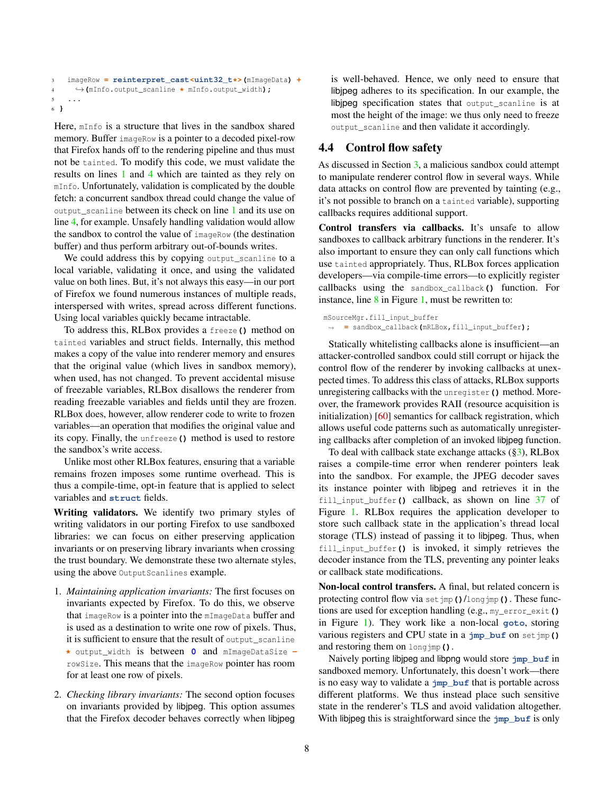```
3 imageRow = reinterpret_cast<uint32_t*>(mImageData) +
4 ,→(mInfo.output_scanline * mInfo.output_width);
5 ...
6 }
```
Here, mInfo is a structure that lives in the sandbox shared memory. Buffer imageRow is a pointer to a decoded pixel-row that Firefox hands off to the rendering pipeline and thus must not be tainted. To modify this code, we must validate the results on lines [1](#page-6-0) and [4](#page-6-0) which are tainted as they rely on mInfo. Unfortunately, validation is complicated by the double fetch: a concurrent sandbox thread could change the value of output\_scanline between its check on line [1](#page-6-0) and its use on line [4,](#page-6-0) for example. Unsafely handling validation would allow the sandbox to control the value of imageRow (the destination buffer) and thus perform arbitrary out-of-bounds writes.

We could address this by copying output\_scanline to a local variable, validating it once, and using the validated value on both lines. But, it's not always this easy—in our port of Firefox we found numerous instances of multiple reads, interspersed with writes, spread across different functions. Using local variables quickly became intractable.

To address this, RLBox provides a freeze**()** method on tainted variables and struct fields. Internally, this method makes a copy of the value into renderer memory and ensures that the original value (which lives in sandbox memory), when used, has not changed. To prevent accidental misuse of freezable variables, RLBox disallows the renderer from reading freezable variables and fields until they are frozen. RLBox does, however, allow renderer code to write to frozen variables—an operation that modifies the original value and its copy. Finally, the unfreeze**()** method is used to restore the sandbox's write access.

Unlike most other RLBox features, ensuring that a variable remains frozen imposes some runtime overhead. This is thus a compile-time, opt-in feature that is applied to select variables and **struct** fields.

Writing validators. We identify two primary styles of writing validators in our porting Firefox to use sandboxed libraries: we can focus on either preserving application invariants or on preserving library invariants when crossing the trust boundary. We demonstrate these two alternate styles, using the above OutputScanlines example.

- 1. *Maintaining application invariants:* The first focuses on invariants expected by Firefox. To do this, we observe that imageRow is a pointer into the mImageData buffer and is used as a destination to write one row of pixels. Thus, it is sufficient to ensure that the result of output\_scanline **\*** output\_width is between **0** and mImageDataSize  rowSize. This means that the imageRow pointer has room for at least one row of pixels.
- 2. *Checking library invariants:* The second option focuses on invariants provided by libjpeg. This option assumes that the Firefox decoder behaves correctly when libjpeg

is well-behaved. Hence, we only need to ensure that libjpeg adheres to its specification. In our example, the libjpeg specification states that output\_scanline is at most the height of the image: we thus only need to freeze output\_scanline and then validate it accordingly.

### <span id="page-7-0"></span>4.4 Control flow safety

As discussed in Section [3,](#page-2-0) a malicious sandbox could attempt to manipulate renderer control flow in several ways. While data attacks on control flow are prevented by tainting (e.g., it's not possible to branch on a tainted variable), supporting callbacks requires additional support.

Control transfers via callbacks. It's unsafe to allow sandboxes to callback arbitrary functions in the renderer. It's also important to ensure they can only call functions which use tainted appropriately. Thus, RLBox forces application developers—via compile-time errors—to explicitly register callbacks using the sandbox\_callback**()** function. For instance, line  $8$  in Figure [1,](#page-3-1) must be rewritten to:

```
mSourceMgr.fill_input_buffer
 ,→ = sandbox_callback(mRLBox,fill_input_buffer);
```
Statically whitelisting callbacks alone is insufficient—an attacker-controlled sandbox could still corrupt or hijack the control flow of the renderer by invoking callbacks at unexpected times. To address this class of attacks, RLBox supports unregistering callbacks with the unregister**()** method. Moreover, the framework provides RAII (resource acquisition is initialization) [\[60\]](#page-18-17) semantics for callback registration, which allows useful code patterns such as automatically unregistering callbacks after completion of an invoked libjpeg function.

To deal with callback state exchange attacks  $(\S_3)$ , RLBox raises a compile-time error when renderer pointers leak into the sandbox. For example, the JPEG decoder saves its instance pointer with libjpeg and retrieves it in the fill\_input\_buffer**()** callback, as shown on line [37](#page-3-1) of Figure [1.](#page-3-1) RLBox requires the application developer to store such callback state in the application's thread local storage (TLS) instead of passing it to libjpeg. Thus, when fill\_input\_buffer**()** is invoked, it simply retrieves the decoder instance from the TLS, preventing any pointer leaks or callback state modifications.

Non-local control transfers. A final, but related concern is protecting control flow via setjmp**()**/longjmp**()**. These functions are used for exception handling (e.g., my\_error\_exit**()** in Figure [1\)](#page-3-1). They work like a non-local **goto**, storing various registers and CPU state in a **jmp\_buf** on setjmp**()** and restoring them on longjmp**()**.

Naively porting libjpeg and libpng would store **jmp\_buf** in sandboxed memory. Unfortunately, this doesn't work—there is no easy way to validate a **jmp\_buf** that is portable across different platforms. We thus instead place such sensitive state in the renderer's TLS and avoid validation altogether. With libipeg this is straightforward since the  $\frac{1}{2}$  put is only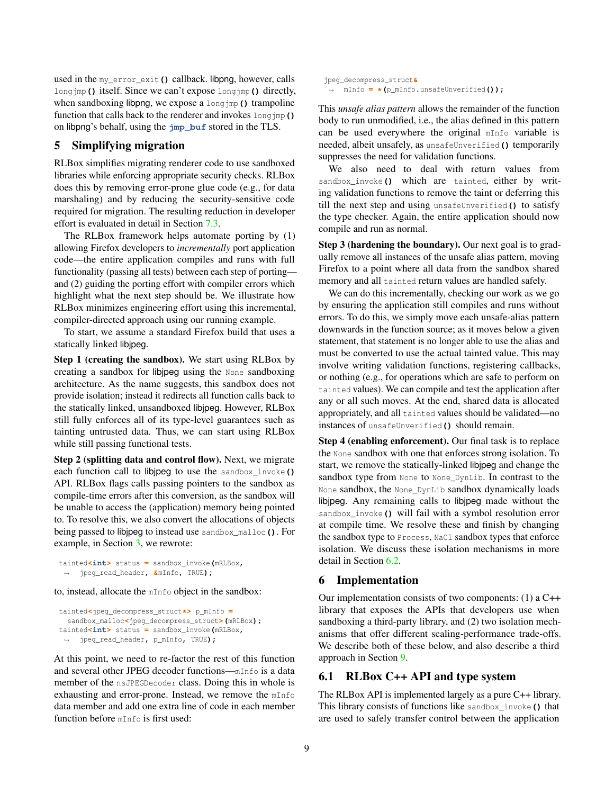used in the my<sub>error</sub> exit () callback. libpng, however, calls longjmp**()** itself. Since we can't expose longjmp**()** directly, when sandboxing libpng, we expose a longjmp**()** trampoline function that calls back to the renderer and invokes longjmp**()** on libpng's behalf, using the **jmp\_buf** stored in the TLS.

### <span id="page-8-1"></span>5 Simplifying migration

RLBox simplifies migrating renderer code to use sandboxed libraries while enforcing appropriate security checks. RLBox does this by removing error-prone glue code (e.g., for data marshaling) and by reducing the security-sensitive code required for migration. The resulting reduction in developer effort is evaluated in detail in Section [7.3.](#page-12-1)

The RLBox framework helps automate porting by (1) allowing Firefox developers to *incrementally* port application code—the entire application compiles and runs with full functionality (passing all tests) between each step of porting and (2) guiding the porting effort with compiler errors which highlight what the next step should be. We illustrate how RLBox minimizes engineering effort using this incremental, compiler-directed approach using our running example.

To start, we assume a standard Firefox build that uses a statically linked libjpeg.

Step 1 (creating the sandbox). We start using RLBox by creating a sandbox for libjpeg using the None sandboxing architecture. As the name suggests, this sandbox does not provide isolation; instead it redirects all function calls back to the statically linked, unsandboxed libjpeg. However, RLBox still fully enforces all of its type-level guarantees such as tainting untrusted data. Thus, we can start using RLBox while still passing functional tests.

Step 2 (splitting data and control flow). Next, we migrate each function call to libjpeg to use the sandbox\_invoke**()** API. RLBox flags calls passing pointers to the sandbox as compile-time errors after this conversion, as the sandbox will be unable to access the (application) memory being pointed to. To resolve this, we also convert the allocations of objects being passed to libjpeg to instead use sandbox\_malloc**()**. For example, in Section [3,](#page-2-0) we rewrote:

```
tainted<int> status = sandbox_invoke(mRLBox,
 ,→ jpeg_read_header, &mInfo, TRUE);
```
to, instead, allocate the mInfo object in the sandbox:

```
tainted<jpeg_decompress_struct*> p_mInfo =
  sandbox_malloc<jpeg_decompress_struct>(mRLBox);
tainted<int> status = sandbox_invoke(mRLBox,
 ,→ jpeg_read_header, p_mInfo, TRUE);
```
At this point, we need to re-factor the rest of this function and several other JPEG decoder functions—mInfo is a data member of the nsJPEGDecoder class. Doing this in whole is exhausting and error-prone. Instead, we remove the mInfo data member and add one extra line of code in each member function before mInfo is first used:

jpeg\_decompress\_struct**&** ,<sup>→</sup> mInfo **= \*(**p\_mInfo**.**unsafeUnverified**());**

This *unsafe alias pattern* allows the remainder of the function body to run unmodified, i.e., the alias defined in this pattern can be used everywhere the original mInfo variable is needed, albeit unsafely, as unsafeUnverified**()** temporarily suppresses the need for validation functions.

We also need to deal with return values from sandbox\_invoke**()** which are tainted, either by writing validation functions to remove the taint or deferring this till the next step and using unsafeUnverified**()** to satisfy the type checker. Again, the entire application should now compile and run as normal.

Step 3 (hardening the boundary). Our next goal is to gradually remove all instances of the unsafe alias pattern, moving Firefox to a point where all data from the sandbox shared memory and all tainted return values are handled safely.

We can do this incrementally, checking our work as we go by ensuring the application still compiles and runs without errors. To do this, we simply move each unsafe-alias pattern downwards in the function source; as it moves below a given statement, that statement is no longer able to use the alias and must be converted to use the actual tainted value. This may involve writing validation functions, registering callbacks, or nothing (e.g., for operations which are safe to perform on tainted values). We can compile and test the application after any or all such moves. At the end, shared data is allocated appropriately, and all tainted values should be validated—no instances of unsafeUnverified**()** should remain.

Step 4 (enabling enforcement). Our final task is to replace the None sandbox with one that enforces strong isolation. To start, we remove the statically-linked libjpeg and change the sandbox type from None to None\_DynLib. In contrast to the None sandbox, the None\_DynLib sandbox dynamically loads libjpeg. Any remaining calls to libjpeg made without the sandbox\_invoke**()** will fail with a symbol resolution error at compile time. We resolve these and finish by changing the sandbox type to Process, NaCl sandbox types that enforce isolation. We discuss these isolation mechanisms in more detail in Section [6.2.](#page-9-0)

#### <span id="page-8-2"></span>6 Implementation

Our implementation consists of two components: (1) a C++ library that exposes the APIs that developers use when sandboxing a third-party library, and (2) two isolation mechanisms that offer different scaling-performance trade-offs. We describe both of these below, and also describe a third approach in Section [9.](#page-16-0)

#### <span id="page-8-0"></span>6.1 RLBox C++ API and type system

The RLBox API is implemented largely as a pure C++ library. This library consists of functions like sandbox\_invoke**()** that are used to safely transfer control between the application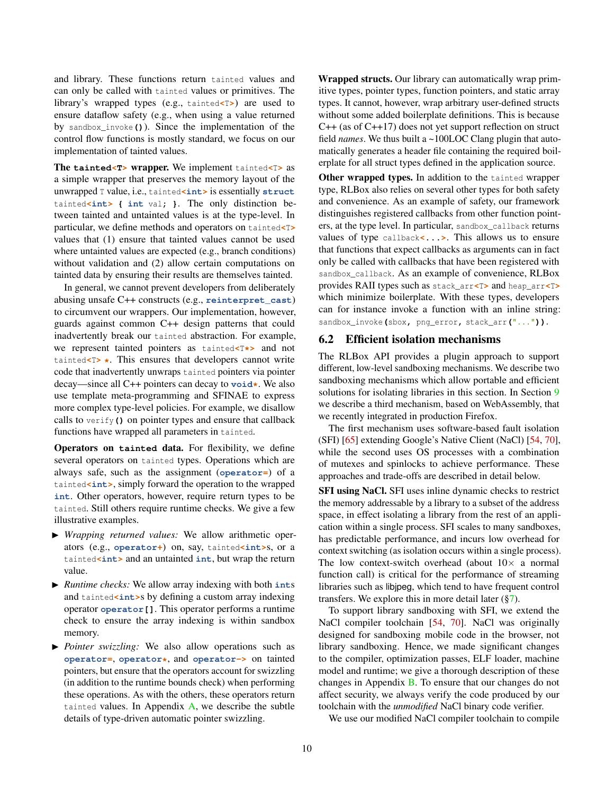and library. These functions return tainted values and can only be called with tainted values or primitives. The library's wrapped types (e.g., tainted**<**T**>**) are used to ensure dataflow safety (e.g., when using a value returned by sandbox\_invoke**()**). Since the implementation of the control flow functions is mostly standard, we focus on our implementation of tainted values.

The **tainted<T>** wrapper. We implement tainted**<**T**>** as a simple wrapper that preserves the memory layout of the unwrapped T value, i.e., tainted**<int>** is essentially **struct** tainted**<int> { int** val**; }**. The only distinction between tainted and untainted values is at the type-level. In particular, we define methods and operators on tainted**<**T**>** values that (1) ensure that tainted values cannot be used where untainted values are expected (e.g., branch conditions) without validation and (2) allow certain computations on tainted data by ensuring their results are themselves tainted.

In general, we cannot prevent developers from deliberately abusing unsafe C++ constructs (e.g., **reinterpret\_cast**) to circumvent our wrappers. Our implementation, however, guards against common C++ design patterns that could inadvertently break our tainted abstraction. For example, we represent tainted pointers as tainted**<**T**\*>** and not tainted**<**T**> \***. This ensures that developers cannot write code that inadvertently unwraps tainted pointers via pointer decay—since all C++ pointers can decay to **void\***. We also use template meta-programming and SFINAE to express more complex type-level policies. For example, we disallow calls to verify**()** on pointer types and ensure that callback functions have wrapped all parameters in tainted.

Operators on **tainted** data. For flexibility, we define several operators on tainted types. Operations which are always safe, such as the assignment (**operator=**) of a tainted**<int>**, simply forward the operation to the wrapped **int**. Other operators, however, require return types to be tainted. Still others require runtime checks. We give a few illustrative examples.

- I *Wrapping returned values:* We allow arithmetic operators (e.g., **operator+**) on, say, tainted**<int>**s, or a tainted<int> and an untainted int, but wrap the return value.
- I *Runtime checks:* We allow array indexing with both **int**s and tainted**<int>s** by defining a custom array indexing operator **operator[]**. This operator performs a runtime check to ensure the array indexing is within sandbox memory.
- **I** *Pointer swizzling:* We also allow operations such as **operator=**, **operator\***, and **operator->** on tainted pointers, but ensure that the operators account for swizzling (in addition to the runtime bounds check) when performing these operations. As with the others, these operators return tainted values. In Appendix  $A$ , we describe the subtle details of type-driven automatic pointer swizzling.

Wrapped structs. Our library can automatically wrap primitive types, pointer types, function pointers, and static array types. It cannot, however, wrap arbitrary user-defined structs without some added boilerplate definitions. This is because C++ (as of C++17) does not yet support reflection on struct field *names*. We thus built a ~100LOC Clang plugin that automatically generates a header file containing the required boilerplate for all struct types defined in the application source.

Other wrapped types. In addition to the tainted wrapper type, RLBox also relies on several other types for both safety and convenience. As an example of safety, our framework distinguishes registered callbacks from other function pointers, at the type level. In particular, sandbox\_callback returns values of type callback**<...>**. This allows us to ensure that functions that expect callbacks as arguments can in fact only be called with callbacks that have been registered with sandbox\_callback. As an example of convenience, RLBox provides RAII types such as stack\_arr**<**T**>** and heap\_arr**<**T**>** which minimize boilerplate. With these types, developers can for instance invoke a function with an inline string: sandbox\_invoke**(**sbox**,** png\_error**,** stack\_arr**(**"..."**))**.

### <span id="page-9-0"></span>6.2 Efficient isolation mechanisms

The RLBox API provides a plugin approach to support different, low-level sandboxing mechanisms. We describe two sandboxing mechanisms which allow portable and efficient solutions for isolating libraries in this section. In Section [9](#page-16-0) we describe a third mechanism, based on WebAssembly, that we recently integrated in production Firefox.

The first mechanism uses software-based fault isolation (SFI) [\[65\]](#page-18-18) extending Google's Native Client (NaCl) [\[54,](#page-18-5) [70\]](#page-18-6), while the second uses OS processes with a combination of mutexes and spinlocks to achieve performance. These approaches and trade-offs are described in detail below.

SFI using NaCl. SFI uses inline dynamic checks to restrict the memory addressable by a library to a subset of the address space, in effect isolating a library from the rest of an application within a single process. SFI scales to many sandboxes, has predictable performance, and incurs low overhead for context switching (as isolation occurs within a single process). The low context-switch overhead (about  $10\times$  a normal function call) is critical for the performance of streaming libraries such as libjpeg, which tend to have frequent control transfers. We explore this in more detail later  $(\frac{87}{3})$ .

To support library sandboxing with SFI, we extend the NaCl compiler toolchain [\[54,](#page-18-5) [70\]](#page-18-6). NaCl was originally designed for sandboxing mobile code in the browser, not library sandboxing. Hence, we made significant changes to the compiler, optimization passes, ELF loader, machine model and runtime; we give a thorough description of these changes in Appendix [B.](#page-19-1) To ensure that our changes do not affect security, we always verify the code produced by our toolchain with the *unmodified* NaCl binary code verifier.

We use our modified NaCl compiler toolchain to compile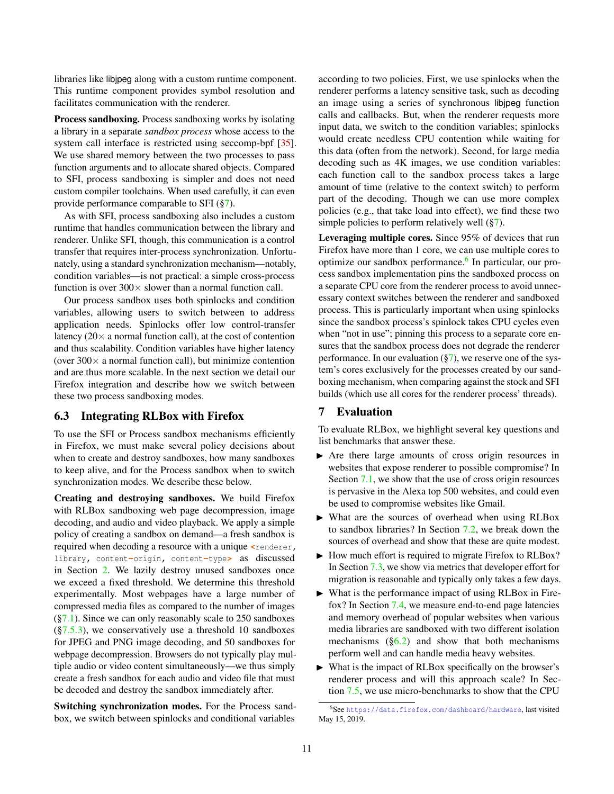libraries like libjpeg along with a custom runtime component. This runtime component provides symbol resolution and facilitates communication with the renderer.

Process sandboxing. Process sandboxing works by isolating a library in a separate *sandbox process* whose access to the system call interface is restricted using seccomp-bpf [\[35\]](#page-18-19). We use shared memory between the two processes to pass function arguments and to allocate shared objects. Compared to SFI, process sandboxing is simpler and does not need custom compiler toolchains. When used carefully, it can even provide performance comparable to SFI ([§7\)](#page-10-0).

As with SFI, process sandboxing also includes a custom runtime that handles communication between the library and renderer. Unlike SFI, though, this communication is a control transfer that requires inter-process synchronization. Unfortunately, using a standard synchronization mechanism—notably, condition variables—is not practical: a simple cross-process function is over  $300 \times$  slower than a normal function call.

Our process sandbox uses both spinlocks and condition variables, allowing users to switch between to address application needs. Spinlocks offer low control-transfer latency  $(20 \times a$  normal function call), at the cost of contention and thus scalability. Condition variables have higher latency (over  $300 \times$  a normal function call), but minimize contention and are thus more scalable. In the next section we detail our Firefox integration and describe how we switch between these two process sandboxing modes.

#### <span id="page-10-2"></span>6.3 Integrating RLBox with Firefox

To use the SFI or Process sandbox mechanisms efficiently in Firefox, we must make several policy decisions about when to create and destroy sandboxes, how many sandboxes to keep alive, and for the Process sandbox when to switch synchronization modes. We describe these below.

Creating and destroying sandboxes. We build Firefox with RLBox sandboxing web page decompression, image decoding, and audio and video playback. We apply a simple policy of creating a sandbox on demand—a fresh sandbox is required when decoding a resource with a unique **<**renderer**,** library**,** content**-**origin**,** content**-**type**>** as discussed in Section [2.](#page-1-2) We lazily destroy unused sandboxes once we exceed a fixed threshold. We determine this threshold experimentally. Most webpages have a large number of compressed media files as compared to the number of images  $(\S7.1)$ . Since we can only reasonably scale to 250 sandboxes  $(\S7.5.3)$ , we conservatively use a threshold 10 sandboxes for JPEG and PNG image decoding, and 50 sandboxes for webpage decompression. Browsers do not typically play multiple audio or video content simultaneously—we thus simply create a fresh sandbox for each audio and video file that must be decoded and destroy the sandbox immediately after.

Switching synchronization modes. For the Process sandbox, we switch between spinlocks and conditional variables

according to two policies. First, we use spinlocks when the renderer performs a latency sensitive task, such as decoding an image using a series of synchronous libjpeg function calls and callbacks. But, when the renderer requests more input data, we switch to the condition variables; spinlocks would create needless CPU contention while waiting for this data (often from the network). Second, for large media decoding such as 4K images, we use condition variables: each function call to the sandbox process takes a large amount of time (relative to the context switch) to perform part of the decoding. Though we can use more complex policies (e.g., that take load into effect), we find these two simple policies to perform relatively well  $(\frac{87}{3})$ .

Leveraging multiple cores. Since 95% of devices that run Firefox have more than 1 core, we can use multiple cores to optimize our sandbox performance.<sup>[6](#page-10-1)</sup> In particular, our process sandbox implementation pins the sandboxed process on a separate CPU core from the renderer process to avoid unnecessary context switches between the renderer and sandboxed process. This is particularly important when using spinlocks since the sandbox process's spinlock takes CPU cycles even when "not in use"; pinning this process to a separate core ensures that the sandbox process does not degrade the renderer performance. In our evaluation  $(\frac{8}{7})$ , we reserve one of the system's cores exclusively for the processes created by our sandboxing mechanism, when comparing against the stock and SFI builds (which use all cores for the renderer process' threads).

#### <span id="page-10-0"></span>7 Evaluation

To evaluate RLBox, we highlight several key questions and list benchmarks that answer these.

- $\triangleright$  Are there large amounts of cross origin resources in websites that expose renderer to possible compromise? In Section [7.1,](#page-11-0) we show that the use of cross origin resources is pervasive in the Alexa top 500 websites, and could even be used to compromise websites like Gmail.
- $\triangleright$  What are the sources of overhead when using RLBox to sandbox libraries? In Section [7.2,](#page-11-1) we break down the sources of overhead and show that these are quite modest.
- $\blacktriangleright$  How much effort is required to migrate Firefox to RLBox? In Section [7.3,](#page-12-1) we show via metrics that developer effort for migration is reasonable and typically only takes a few days.
- $\triangleright$  What is the performance impact of using RLBox in Firefox? In Section [7.4,](#page-12-0) we measure end-to-end page latencies and memory overhead of popular websites when various media libraries are sandboxed with two different isolation mechanisms  $(\S6.2)$  and show that both mechanisms perform well and can handle media heavy websites.
- What is the impact of RLBox specifically on the browser's renderer process and will this approach scale? In Section [7.5,](#page-13-1) we use micro-benchmarks to show that the CPU

<span id="page-10-1"></span><sup>6</sup>See <https://data.firefox.com/dashboard/hardware>, last visited May 15, 2019.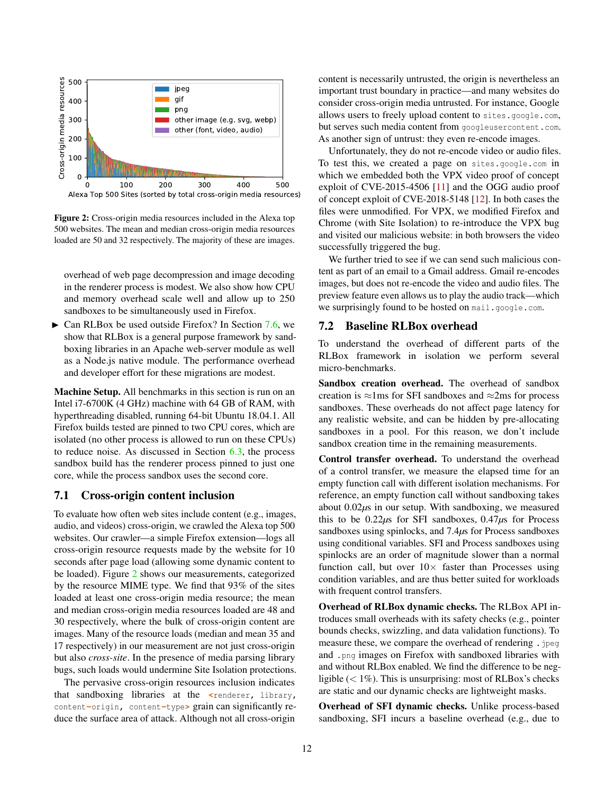<span id="page-11-2"></span>

Figure 2: Cross-origin media resources included in the Alexa top 500 websites. The mean and median cross-origin media resources loaded are 50 and 32 respectively. The majority of these are images.

overhead of web page decompression and image decoding in the renderer process is modest. We also show how CPU and memory overhead scale well and allow up to 250 sandboxes to be simultaneously used in Firefox.

 $\triangleright$  Can RLBox be used outside Firefox? In Section [7.6,](#page-14-1) we show that RLBox is a general purpose framework by sandboxing libraries in an Apache web-server module as well as a Node.js native module. The performance overhead and developer effort for these migrations are modest.

Machine Setup. All benchmarks in this section is run on an Intel i7-6700K (4 GHz) machine with 64 GB of RAM, with hyperthreading disabled, running 64-bit Ubuntu 18.04.1. All Firefox builds tested are pinned to two CPU cores, which are isolated (no other process is allowed to run on these CPUs) to reduce noise. As discussed in Section  $6.3$ , the process sandbox build has the renderer process pinned to just one core, while the process sandbox uses the second core.

### <span id="page-11-0"></span>7.1 Cross-origin content inclusion

To evaluate how often web sites include content (e.g., images, audio, and videos) cross-origin, we crawled the Alexa top 500 websites. Our crawler—a simple Firefox extension—logs all cross-origin resource requests made by the website for 10 seconds after page load (allowing some dynamic content to be loaded). Figure [2](#page-11-2) shows our measurements, categorized by the resource MIME type. We find that 93% of the sites loaded at least one cross-origin media resource; the mean and median cross-origin media resources loaded are 48 and 30 respectively, where the bulk of cross-origin content are images. Many of the resource loads (median and mean 35 and 17 respectively) in our measurement are not just cross-origin but also *cross-site*. In the presence of media parsing library bugs, such loads would undermine Site Isolation protections.

The pervasive cross-origin resources inclusion indicates that sandboxing libraries at the **<**renderer**,** library**,** content**-**origin**,** content**-**type**>** grain can significantly reduce the surface area of attack. Although not all cross-origin

content is necessarily untrusted, the origin is nevertheless an important trust boundary in practice—and many websites do consider cross-origin media untrusted. For instance, Google allows users to freely upload content to sites**.**google**.**com, but serves such media content from googleusercontent**.**com. As another sign of untrust: they even re-encode images.

Unfortunately, they do not re-encode video or audio files. To test this, we created a page on sites**.**google**.**com in which we embedded both the VPX video proof of concept exploit of CVE-2015-4506 [\[11\]](#page-17-4) and the OGG audio proof of concept exploit of CVE-2018-5148 [\[12\]](#page-17-13). In both cases the files were unmodified. For VPX, we modified Firefox and Chrome (with Site Isolation) to re-introduce the VPX bug and visited our malicious website: in both browsers the video successfully triggered the bug.

We further tried to see if we can send such malicious content as part of an email to a Gmail address. Gmail re-encodes images, but does not re-encode the video and audio files. The preview feature even allows us to play the audio track—which we surprisingly found to be hosted on mail**.**google**.**com.

### <span id="page-11-1"></span>7.2 Baseline RLBox overhead

To understand the overhead of different parts of the RLBox framework in isolation we perform several micro-benchmarks.

Sandbox creation overhead. The overhead of sandbox creation is  $\approx$ 1ms for SFI sandboxes and  $\approx$ 2ms for process sandboxes. These overheads do not affect page latency for any realistic website, and can be hidden by pre-allocating sandboxes in a pool. For this reason, we don't include sandbox creation time in the remaining measurements.

Control transfer overhead. To understand the overhead of a control transfer, we measure the elapsed time for an empty function call with different isolation mechanisms. For reference, an empty function call without sandboxing takes about 0.02*µ*s in our setup. With sandboxing, we measured this to be 0.22*µ*s for SFI sandboxes, 0.47*µ*s for Process sandboxes using spinlocks, and 7.4*µ*s for Process sandboxes using conditional variables. SFI and Process sandboxes using spinlocks are an order of magnitude slower than a normal function call, but over  $10\times$  faster than Processes using condition variables, and are thus better suited for workloads with frequent control transfers.

Overhead of RLBox dynamic checks. The RLBox API introduces small overheads with its safety checks (e.g., pointer bounds checks, swizzling, and data validation functions). To measure these, we compare the overhead of rendering **.**jpeg and **.**png images on Firefox with sandboxed libraries with and without RLBox enabled. We find the difference to be negligible  $(< 1\%)$ . This is unsurprising: most of RLBox's checks are static and our dynamic checks are lightweight masks.

Overhead of SFI dynamic checks. Unlike process-based sandboxing, SFI incurs a baseline overhead (e.g., due to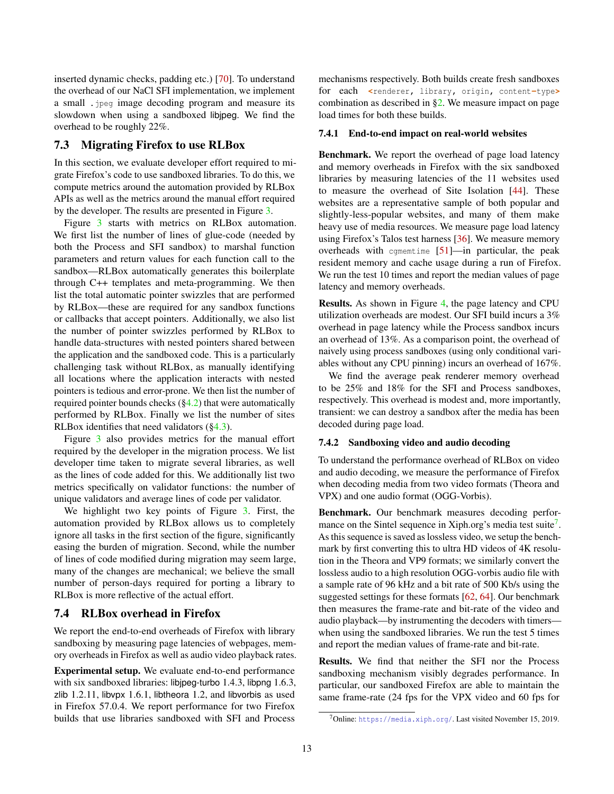inserted dynamic checks, padding etc.) [\[70\]](#page-18-6). To understand the overhead of our NaCl SFI implementation, we implement a small **.**jpeg image decoding program and measure its slowdown when using a sandboxed libjpeg. We find the overhead to be roughly 22%.

#### <span id="page-12-1"></span>7.3 Migrating Firefox to use RLBox

In this section, we evaluate developer effort required to migrate Firefox's code to use sandboxed libraries. To do this, we compute metrics around the automation provided by RLBox APIs as well as the metrics around the manual effort required by the developer. The results are presented in Figure [3.](#page-13-2)

Figure [3](#page-13-2) starts with metrics on RLBox automation. We first list the number of lines of glue-code (needed by both the Process and SFI sandbox) to marshal function parameters and return values for each function call to the sandbox—RLBox automatically generates this boilerplate through C++ templates and meta-programming. We then list the total automatic pointer swizzles that are performed by RLBox—these are required for any sandbox functions or callbacks that accept pointers. Additionally, we also list the number of pointer swizzles performed by RLBox to handle data-structures with nested pointers shared between the application and the sandboxed code. This is a particularly challenging task without RLBox, as manually identifying all locations where the application interacts with nested pointers is tedious and error-prone. We then list the number of required pointer bounds checks  $(\frac{64.2}{})$  that were automatically performed by RLBox. Finally we list the number of sites RLBox identifies that need validators ([§4.3\)](#page-6-0).

Figure [3](#page-13-2) also provides metrics for the manual effort required by the developer in the migration process. We list developer time taken to migrate several libraries, as well as the lines of code added for this. We additionally list two metrics specifically on validator functions: the number of unique validators and average lines of code per validator.

We highlight two key points of Figure [3.](#page-13-2) First, the automation provided by RLBox allows us to completely ignore all tasks in the first section of the figure, significantly easing the burden of migration. Second, while the number of lines of code modified during migration may seem large, many of the changes are mechanical; we believe the small number of person-days required for porting a library to RLBox is more reflective of the actual effort.

# <span id="page-12-0"></span>7.4 RLBox overhead in Firefox

We report the end-to-end overheads of Firefox with library sandboxing by measuring page latencies of webpages, memory overheads in Firefox as well as audio video playback rates.

Experimental setup. We evaluate end-to-end performance with six sandboxed libraries: libjpeg-turbo 1.4.3, libpng 1.6.3, zlib 1.2.11, libvpx 1.6.1, libtheora 1.2, and libvorbis as used in Firefox 57.0.4. We report performance for two Firefox builds that use libraries sandboxed with SFI and Process

mechanisms respectively. Both builds create fresh sandboxes for each **<**renderer**,** library**,** origin**,** content**-**type**>** combination as described in [§2.](#page-1-2) We measure impact on page load times for both these builds.

#### <span id="page-12-3"></span>7.4.1 End-to-end impact on real-world websites

Benchmark. We report the overhead of page load latency and memory overheads in Firefox with the six sandboxed libraries by measuring latencies of the 11 websites used to measure the overhead of Site Isolation [\[44\]](#page-18-4). These websites are a representative sample of both popular and slightly-less-popular websites, and many of them make heavy use of media resources. We measure page load latency using Firefox's Talos test harness [\[36\]](#page-18-20). We measure memory overheads with cqmemtime  $[51]$ —in particular, the peak resident memory and cache usage during a run of Firefox. We run the test 10 times and report the median values of page latency and memory overheads.

Results. As shown in Figure [4,](#page-13-3) the page latency and CPU utilization overheads are modest. Our SFI build incurs a 3% overhead in page latency while the Process sandbox incurs an overhead of 13%. As a comparison point, the overhead of naively using process sandboxes (using only conditional variables without any CPU pinning) incurs an overhead of 167%.

We find the average peak renderer memory overhead to be 25% and 18% for the SFI and Process sandboxes, respectively. This overhead is modest and, more importantly, transient: we can destroy a sandbox after the media has been decoded during page load.

#### 7.4.2 Sandboxing video and audio decoding

To understand the performance overhead of RLBox on video and audio decoding, we measure the performance of Firefox when decoding media from two video formats (Theora and VPX) and one audio format (OGG-Vorbis).

Benchmark. Our benchmark measures decoding perfor-mance on the Sintel sequence in Xiph.org's media test suite<sup>[7](#page-12-2)</sup>. As this sequence is saved as lossless video, we setup the benchmark by first converting this to ultra HD videos of 4K resolution in the Theora and VP9 formats; we similarly convert the lossless audio to a high resolution OGG-vorbis audio file with a sample rate of 96 kHz and a bit rate of 500 Kb/s using the suggested settings for these formats [\[62,](#page-18-22) [64\]](#page-18-23). Our benchmark then measures the frame-rate and bit-rate of the video and audio playback—by instrumenting the decoders with timers when using the sandboxed libraries. We run the test 5 times and report the median values of frame-rate and bit-rate.

Results. We find that neither the SFI nor the Process sandboxing mechanism visibly degrades performance. In particular, our sandboxed Firefox are able to maintain the same frame-rate (24 fps for the VPX video and 60 fps for

<span id="page-12-2"></span><sup>7</sup>Online: <https://media.xiph.org/>. Last visited November 15, 2019.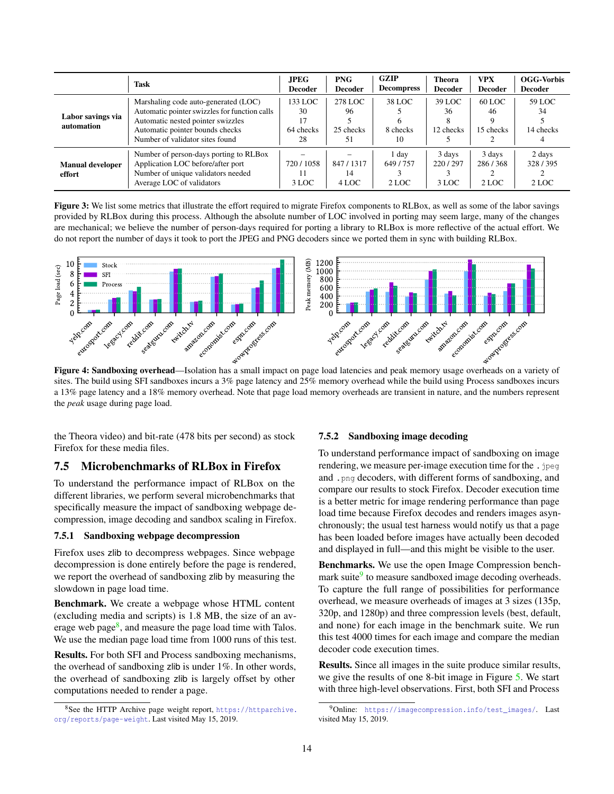<span id="page-13-2"></span>

|                                   | <b>Task</b>                                                                                                                                                                                      | <b>JPEG</b><br><b>Decoder</b>          | <b>PNG</b><br><b>Decoder</b>     | GZIP<br><b>Decompress</b>     | <b>Theora</b><br><b>Decoder</b> | <b>VPX</b><br><b>Decoder</b> | <b>OGG-Vorbis</b><br><b>Decoder</b> |
|-----------------------------------|--------------------------------------------------------------------------------------------------------------------------------------------------------------------------------------------------|----------------------------------------|----------------------------------|-------------------------------|---------------------------------|------------------------------|-------------------------------------|
| Labor savings via<br>automation   | Marshaling code auto-generated (LOC)<br>Automatic pointer swizzles for function calls<br>Automatic nested pointer swizzles<br>Automatic pointer bounds checks<br>Number of validator sites found | 133 LOC<br>30<br>17<br>64 checks<br>28 | 278 LOC<br>96<br>25 checks<br>51 | 38 LOC<br>6<br>8 checks<br>10 | 39 LOC<br>36<br>12 checks       | $60$ LOC<br>46<br>15 checks  | 59 LOC<br>34<br>14 checks           |
| <b>Manual developer</b><br>effort | Number of person-days porting to RLBox<br>Application LOC before/after port<br>Number of unique validators needed<br>Average LOC of validators                                                   | 720/1058<br>11<br>3 LOC                | 847/1317<br>14<br>4 LOC          | day<br>649/757<br>2 LOC       | 3 days<br>220/297<br>3 LOC      | 3 days<br>286/368<br>2 LOC   | 2 days<br>328/395<br>2 LOC          |

Figure 3: We list some metrics that illustrate the effort required to migrate Firefox components to RLBox, as well as some of the labor savings provided by RLBox during this process. Although the absolute number of LOC involved in porting may seem large, many of the changes are mechanical; we believe the number of person-days required for porting a library to RLBox is more reflective of the actual effort. We do not report the number of days it took to port the JPEG and PNG decoders since we ported them in sync with building RLBox.

<span id="page-13-3"></span>

Figure 4: Sandboxing overhead—Isolation has a small impact on page load latencies and peak memory usage overheads on a variety of sites. The build using SFI sandboxes incurs a 3% page latency and 25% memory overhead while the build using Process sandboxes incurs a 13% page latency and a 18% memory overhead. Note that page load memory overheads are transient in nature, and the numbers represent the *peak* usage during page load.

the Theora video) and bit-rate (478 bits per second) as stock Firefox for these media files.

### <span id="page-13-1"></span>7.5 Microbenchmarks of RLBox in Firefox

To understand the performance impact of RLBox on the different libraries, we perform several microbenchmarks that specifically measure the impact of sandboxing webpage decompression, image decoding and sandbox scaling in Firefox.

#### 7.5.1 Sandboxing webpage decompression

Firefox uses zlib to decompress webpages. Since webpage decompression is done entirely before the page is rendered, we report the overhead of sandboxing zlib by measuring the slowdown in page load time.

Benchmark. We create a webpage whose HTML content (excluding media and scripts) is 1.8 MB, the size of an av-erage web page<sup>[8](#page-13-4)</sup>, and measure the page load time with Talos. We use the median page load time from 1000 runs of this test.

Results. For both SFI and Process sandboxing mechanisms, the overhead of sandboxing zlib is under 1%. In other words, the overhead of sandboxing zlib is largely offset by other computations needed to render a page.

#### 7.5.2 Sandboxing image decoding

To understand performance impact of sandboxing on image rendering, we measure per-image execution time for the **.**jpeg and **.**png decoders, with different forms of sandboxing, and compare our results to stock Firefox. Decoder execution time is a better metric for image rendering performance than page load time because Firefox decodes and renders images asynchronously; the usual test harness would notify us that a page has been loaded before images have actually been decoded and displayed in full—and this might be visible to the user.

Benchmarks. We use the open Image Compression bench-mark suite<sup>[9](#page-13-5)</sup> to measure sandboxed image decoding overheads. To capture the full range of possibilities for performance overhead, we measure overheads of images at 3 sizes (135p, 320p, and 1280p) and three compression levels (best, default, and none) for each image in the benchmark suite. We run this test 4000 times for each image and compare the median decoder code execution times.

Results. Since all images in the suite produce similar results, we give the results of one 8-bit image in Figure [5.](#page-14-2) We start with three high-level observations. First, both SFI and Process

<span id="page-13-4"></span><span id="page-13-0"></span> $8$ See the HTTP Archive page weight report, [https://httparchive.](https://httparchive.org/reports/page-weight) [org/reports/page-weight](https://httparchive.org/reports/page-weight). Last visited May 15, 2019.

<span id="page-13-5"></span> $9$ Online: [https://imagecompression.info/test\\_images/](https://imagecompression.info/test_images/). Last visited May 15, 2019.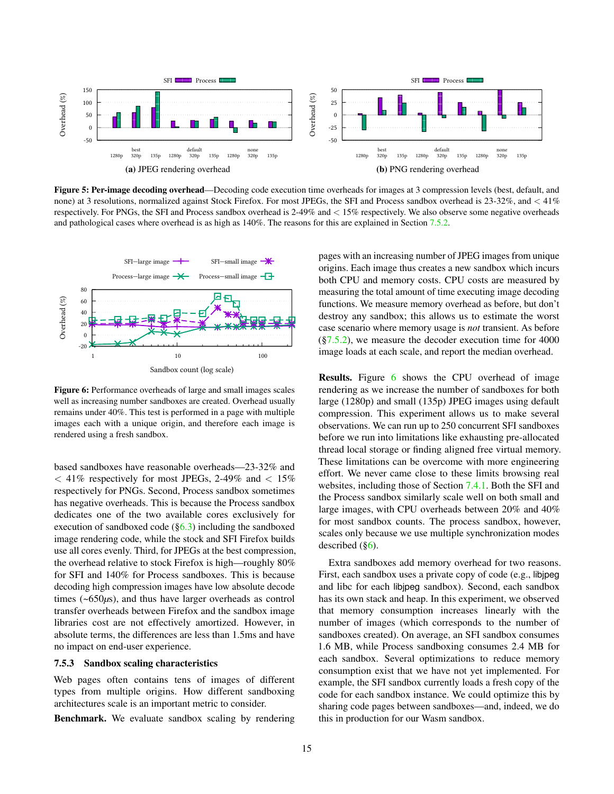<span id="page-14-2"></span>

Figure 5: Per-image decoding overhead—Decoding code execution time overheads for images at 3 compression levels (best, default, and none) at 3 resolutions, normalized against Stock Firefox. For most JPEGs, the SFI and Process sandbox overhead is 23-32%, and < 41% respectively. For PNGs, the SFI and Process sandbox overhead is 2-49% and < 15% respectively. We also observe some negative overheads and pathological cases where overhead is as high as 140%. The reasons for this are explained in Section [7.5.2.](#page-13-0)

<span id="page-14-3"></span>

Figure 6: Performance overheads of large and small images scales well as increasing number sandboxes are created. Overhead usually remains under 40%. This test is performed in a page with multiple images each with a unique origin, and therefore each image is rendered using a fresh sandbox.

based sandboxes have reasonable overheads—23-32% and  $\langle 41\%$  respectively for most JPEGs, 2-49% and  $\langle 15\%$ respectively for PNGs. Second, Process sandbox sometimes has negative overheads. This is because the Process sandbox dedicates one of the two available cores exclusively for execution of sandboxed code  $(\S6.3)$  including the sandboxed image rendering code, while the stock and SFI Firefox builds use all cores evenly. Third, for JPEGs at the best compression, the overhead relative to stock Firefox is high—roughly 80% for SFI and 140% for Process sandboxes. This is because decoding high compression images have low absolute decode times (~650*µ*s), and thus have larger overheads as control transfer overheads between Firefox and the sandbox image libraries cost are not effectively amortized. However, in absolute terms, the differences are less than 1.5ms and have no impact on end-user experience.

#### <span id="page-14-0"></span>7.5.3 Sandbox scaling characteristics

Web pages often contains tens of images of different types from multiple origins. How different sandboxing architectures scale is an important metric to consider.

Benchmark. We evaluate sandbox scaling by rendering

pages with an increasing number of JPEG images from unique origins. Each image thus creates a new sandbox which incurs both CPU and memory costs. CPU costs are measured by measuring the total amount of time executing image decoding functions. We measure memory overhead as before, but don't destroy any sandbox; this allows us to estimate the worst case scenario where memory usage is *not* transient. As before  $(\S7.5.2)$ , we measure the decoder execution time for 4000 image loads at each scale, and report the median overhead.

**Results.** Figure [6](#page-14-3) shows the CPU overhead of image rendering as we increase the number of sandboxes for both large (1280p) and small (135p) JPEG images using default compression. This experiment allows us to make several observations. We can run up to 250 concurrent SFI sandboxes before we run into limitations like exhausting pre-allocated thread local storage or finding aligned free virtual memory. These limitations can be overcome with more engineering effort. We never came close to these limits browsing real websites, including those of Section [7.4.1.](#page-12-3) Both the SFI and the Process sandbox similarly scale well on both small and large images, with CPU overheads between 20% and 40% for most sandbox counts. The process sandbox, however, scales only because we use multiple synchronization modes described  $(\S6)$ .

<span id="page-14-1"></span>Extra sandboxes add memory overhead for two reasons. First, each sandbox uses a private copy of code (e.g., libjpeg and libc for each libjpeg sandbox). Second, each sandbox has its own stack and heap. In this experiment, we observed that memory consumption increases linearly with the number of images (which corresponds to the number of sandboxes created). On average, an SFI sandbox consumes 1.6 MB, while Process sandboxing consumes 2.4 MB for each sandbox. Several optimizations to reduce memory consumption exist that we have not yet implemented. For example, the SFI sandbox currently loads a fresh copy of the code for each sandbox instance. We could optimize this by sharing code pages between sandboxes—and, indeed, we do this in production for our Wasm sandbox.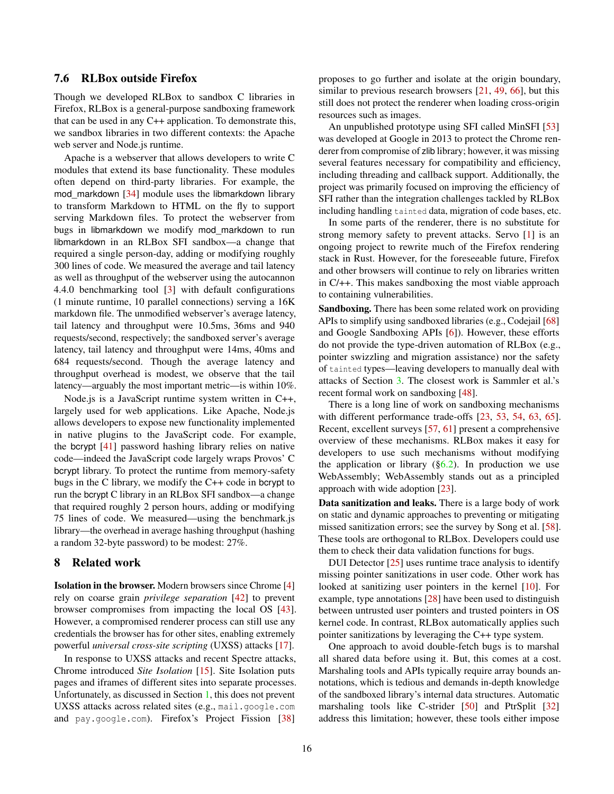### 7.6 RLBox outside Firefox

Though we developed RLBox to sandbox C libraries in Firefox, RLBox is a general-purpose sandboxing framework that can be used in any C++ application. To demonstrate this, we sandbox libraries in two different contexts: the Apache web server and Node.js runtime.

Apache is a webserver that allows developers to write C modules that extend its base functionality. These modules often depend on third-party libraries. For example, the mod\_markdown [\[34\]](#page-18-8) module uses the libmarkdown library to transform Markdown to HTML on the fly to support serving Markdown files. To protect the webserver from bugs in libmarkdown we modify mod\_markdown to run libmarkdown in an RLBox SFI sandbox—a change that required a single person-day, adding or modifying roughly 300 lines of code. We measured the average and tail latency as well as throughput of the webserver using the autocannon 4.4.0 benchmarking tool [\[3\]](#page-17-14) with default configurations (1 minute runtime, 10 parallel connections) serving a 16K markdown file. The unmodified webserver's average latency, tail latency and throughput were 10.5ms, 36ms and 940 requests/second, respectively; the sandboxed server's average latency, tail latency and throughput were 14ms, 40ms and 684 requests/second. Though the average latency and throughput overhead is modest, we observe that the tail latency—arguably the most important metric—is within 10%.

Node.js is a JavaScript runtime system written in C++, largely used for web applications. Like Apache, Node.js allows developers to expose new functionality implemented in native plugins to the JavaScript code. For example, the bcrypt [\[41\]](#page-18-9) password hashing library relies on native code—indeed the JavaScript code largely wraps Provos' C bcrypt library. To protect the runtime from memory-safety bugs in the C library, we modify the C++ code in bcrypt to run the bcrypt C library in an RLBox SFI sandbox—a change that required roughly 2 person hours, adding or modifying 75 lines of code. We measured—using the benchmark.js library—the overhead in average hashing throughput (hashing a random 32-byte password) to be modest: 27%.

#### <span id="page-15-0"></span>8 Related work

Isolation in the browser. Modern browsers since Chrome [\[4\]](#page-17-0) rely on coarse grain *privilege separation* [\[42\]](#page-18-24) to prevent browser compromises from impacting the local OS [\[43\]](#page-18-1). However, a compromised renderer process can still use any credentials the browser has for other sites, enabling extremely powerful *universal cross-site scripting* (UXSS) attacks [\[17\]](#page-17-1).

In response to UXSS attacks and recent Spectre attacks, Chrome introduced *Site Isolation* [\[15\]](#page-17-6). Site Isolation puts pages and iframes of different sites into separate processes. Unfortunately, as discussed in Section [1,](#page-0-0) this does not prevent UXSS attacks across related sites (e.g., mail.google.com and pay.google.com). Firefox's Project Fission [\[38\]](#page-18-25)

proposes to go further and isolate at the origin boundary, similar to previous research browsers [\[21,](#page-17-15) [49,](#page-18-26) [66\]](#page-18-27), but this still does not protect the renderer when loading cross-origin resources such as images.

An unpublished prototype using SFI called MinSFI [\[53\]](#page-18-28) was developed at Google in 2013 to protect the Chrome renderer from compromise of zlib library; however, it was missing several features necessary for compatibility and efficiency, including threading and callback support. Additionally, the project was primarily focused on improving the efficiency of SFI rather than the integration challenges tackled by RLBox including handling tainted data, migration of code bases, etc.

In some parts of the renderer, there is no substitute for strong memory safety to prevent attacks. Servo [\[1\]](#page-17-16) is an ongoing project to rewrite much of the Firefox rendering stack in Rust. However, for the foreseeable future, Firefox and other browsers will continue to rely on libraries written in C/++. This makes sandboxing the most viable approach to containing vulnerabilities.

Sandboxing. There has been some related work on providing APIs to simplify using sandboxed libraries (e.g., Codejail [\[68\]](#page-18-29) and Google Sandboxing APIs [\[6\]](#page-17-17)). However, these efforts do not provide the type-driven automation of RLBox (e.g., pointer swizzling and migration assistance) nor the safety of tainted types—leaving developers to manually deal with attacks of Section [3.](#page-2-0) The closest work is Sammler et al.'s recent formal work on sandboxing [\[48\]](#page-18-30).

There is a long line of work on sandboxing mechanisms with different performance trade-offs [\[23,](#page-17-8) [53,](#page-18-28) [54,](#page-18-5) [63,](#page-18-31) [65\]](#page-18-18). Recent, excellent surveys [\[57,](#page-18-32) [61\]](#page-18-33) present a comprehensive overview of these mechanisms. RLBox makes it easy for developers to use such mechanisms without modifying the application or library  $(\S6.2)$ . In production we use WebAssembly; WebAssembly stands out as a principled approach with wide adoption [\[23\]](#page-17-8).

Data sanitization and leaks. There is a large body of work on static and dynamic approaches to preventing or mitigating missed sanitization errors; see the survey by Song et al. [\[58\]](#page-18-34). These tools are orthogonal to RLBox. Developers could use them to check their data validation functions for bugs.

DUI Detector [\[25\]](#page-17-18) uses runtime trace analysis to identify missing pointer sanitizations in user code. Other work has looked at sanitizing user pointers in the kernel [\[10\]](#page-17-19). For example, type annotations [\[28\]](#page-17-20) have been used to distinguish between untrusted user pointers and trusted pointers in OS kernel code. In contrast, RLBox automatically applies such pointer sanitizations by leveraging the C++ type system.

One approach to avoid double-fetch bugs is to marshal all shared data before using it. But, this comes at a cost. Marshaling tools and APIs typically require array bounds annotations, which is tedious and demands in-depth knowledge of the sandboxed library's internal data structures. Automatic marshaling tools like C-strider [\[50\]](#page-18-35) and PtrSplit [\[32\]](#page-18-36) address this limitation; however, these tools either impose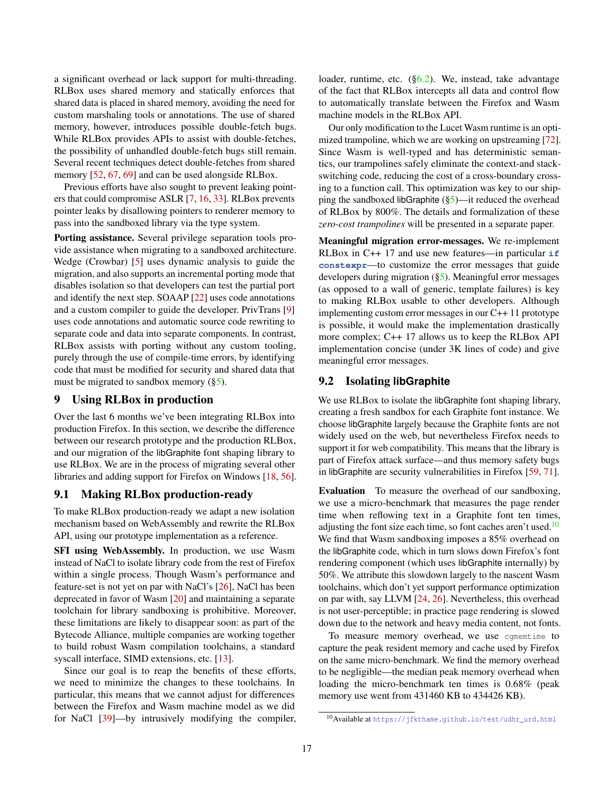a significant overhead or lack support for multi-threading. RLBox uses shared memory and statically enforces that shared data is placed in shared memory, avoiding the need for custom marshaling tools or annotations. The use of shared memory, however, introduces possible double-fetch bugs. While RLBox provides APIs to assist with double-fetches, the possibility of unhandled double-fetch bugs still remain. Several recent techniques detect double-fetches from shared memory [\[52,](#page-18-13) [67,](#page-18-14) [69\]](#page-18-15) and can be used alongside RLBox.

Previous efforts have also sought to prevent leaking pointers that could compromise ASLR [\[7,](#page-17-21) [16,](#page-17-22) [33\]](#page-18-37). RLBox prevents pointer leaks by disallowing pointers to renderer memory to pass into the sandboxed library via the type system.

Porting assistance. Several privilege separation tools provide assistance when migrating to a sandboxed architecture. Wedge (Crowbar) [\[5\]](#page-17-23) uses dynamic analysis to guide the migration, and also supports an incremental porting mode that disables isolation so that developers can test the partial port and identify the next step. SOAAP [\[22\]](#page-17-24) uses code annotations and a custom compiler to guide the developer. PrivTrans [\[9\]](#page-17-25) uses code annotations and automatic source code rewriting to separate code and data into separate components. In contrast, RLBox assists with porting without any custom tooling, purely through the use of compile-time errors, by identifying code that must be modified for security and shared data that must be migrated to sandbox memory  $(\S5)$ .

### <span id="page-16-0"></span>9 Using RLBox in production

Over the last 6 months we've been integrating RLBox into production Firefox. In this section, we describe the difference between our research prototype and the production RLBox, and our migration of the libGraphite font shaping library to use RLBox. We are in the process of migrating several other libraries and adding support for Firefox on Windows [\[18,](#page-17-9) [56\]](#page-18-7).

### 9.1 Making RLBox production-ready

To make RLBox production-ready we adapt a new isolation mechanism based on WebAssembly and rewrite the RLBox API, using our prototype implementation as a reference.

SFI using WebAssembly. In production, we use Wasm instead of NaCl to isolate library code from the rest of Firefox within a single process. Though Wasm's performance and feature-set is not yet on par with NaCl's [\[26\]](#page-17-26), NaCl has been deprecated in favor of Wasm [\[20\]](#page-17-7) and maintaining a separate toolchain for library sandboxing is prohibitive. Moreover, these limitations are likely to disappear soon: as part of the Bytecode Alliance, multiple companies are working together to build robust Wasm compilation toolchains, a standard syscall interface, SIMD extensions, etc. [\[13\]](#page-17-27).

Since our goal is to reap the benefits of these efforts, we need to minimize the changes to these toolchains. In particular, this means that we cannot adjust for differences between the Firefox and Wasm machine model as we did for NaCl [\[39\]](#page-18-38)—by intrusively modifying the compiler, loader, runtime, etc. ([§6.2\)](#page-9-0). We, instead, take advantage of the fact that RLBox intercepts all data and control flow to automatically translate between the Firefox and Wasm machine models in the RLBox API.

Our only modification to the Lucet Wasm runtime is an opti-mized trampoline, which we are working on upstreaming [\[72\]](#page-18-39). Since Wasm is well-typed and has deterministic semantics, our trampolines safely eliminate the context-and stackswitching code, reducing the cost of a cross-boundary crossing to a function call. This optimization was key to our shipping the sandboxed libGraphite  $(\S_5)$ —it reduced the overhead of RLBox by 800%. The details and formalization of these *zero-cost trampolines* will be presented in a separate paper.

Meaningful migration error-messages. We re-implement RLBox in C++ 17 and use new features—in particular **if constexpr**—to customize the error messages that guide developers during migration ([§5\)](#page-8-1). Meaningful error messages (as opposed to a wall of generic, template failures) is key to making RLBox usable to other developers. Although implementing custom error messages in our C++ 11 prototype is possible, it would make the implementation drastically more complex; C++ 17 allows us to keep the RLBox API implementation concise (under 3K lines of code) and give meaningful error messages.

### 9.2 Isolating **libGraphite**

We use RLBox to isolate the libGraphite font shaping library, creating a fresh sandbox for each Graphite font instance. We choose libGraphite largely because the Graphite fonts are not widely used on the web, but nevertheless Firefox needs to support it for web compatibility. This means that the library is part of Firefox attack surface—and thus memory safety bugs in libGraphite are security vulnerabilities in Firefox [\[59,](#page-18-40) [71\]](#page-18-41).

Evaluation To measure the overhead of our sandboxing, we use a micro-benchmark that measures the page render time when reflowing text in a Graphite font ten times, adjusting the font size each time, so font caches aren't used. $10$ We find that Wasm sandboxing imposes a 85% overhead on the libGraphite code, which in turn slows down Firefox's font rendering component (which uses libGraphite internally) by 50%. We attribute this slowdown largely to the nascent Wasm toolchains, which don't yet support performance optimization on par with, say LLVM [\[24,](#page-17-28) [26\]](#page-17-26). Nevertheless, this overhead is not user-perceptible; in practice page rendering is slowed down due to the network and heavy media content, not fonts.

To measure memory overhead, we use cgmemtime to capture the peak resident memory and cache used by Firefox on the same micro-benchmark. We find the memory overhead to be negligible—the median peak memory overhead when loading the micro-benchmark ten times is 0.68% (peak memory use went from 431460 KB to 434426 KB).

<span id="page-16-1"></span><sup>10</sup>Available at [https://jfkthame.github.io/test/udhr\\_urd.html](https://jfkthame.github.io/test/udhr_urd.html)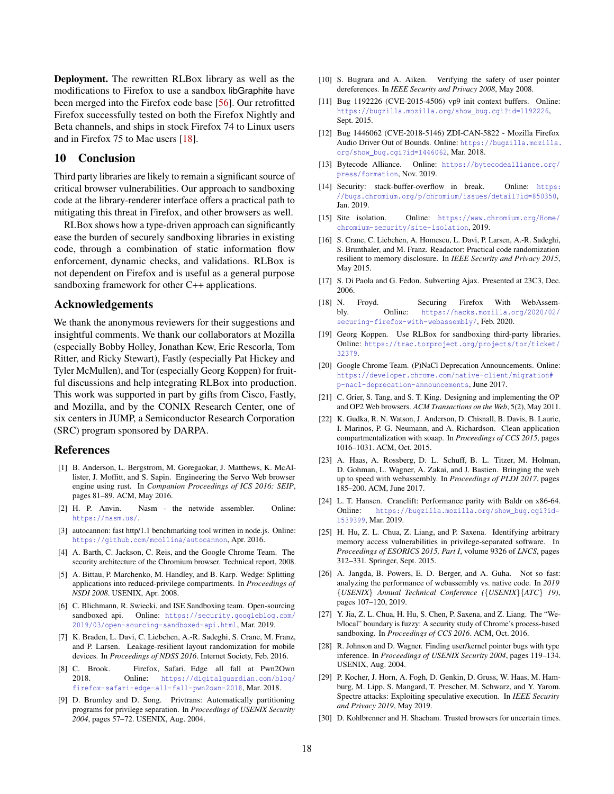Deployment. The rewritten RLBox library as well as the modifications to Firefox to use a sandbox libGraphite have been merged into the Firefox code base [\[56\]](#page-18-7). Our retrofitted Firefox successfully tested on both the Firefox Nightly and Beta channels, and ships in stock Firefox 74 to Linux users and in Firefox 75 to Mac users [\[18\]](#page-17-9).

#### 10 Conclusion

Third party libraries are likely to remain a significant source of critical browser vulnerabilities. Our approach to sandboxing code at the library-renderer interface offers a practical path to mitigating this threat in Firefox, and other browsers as well.

RLBox shows how a type-driven approach can significantly ease the burden of securely sandboxing libraries in existing code, through a combination of static information flow enforcement, dynamic checks, and validations. RLBox is not dependent on Firefox and is useful as a general purpose sandboxing framework for other C++ applications.

#### Acknowledgements

We thank the anonymous reviewers for their suggestions and insightful comments. We thank our collaborators at Mozilla (especially Bobby Holley, Jonathan Kew, Eric Rescorla, Tom Ritter, and Ricky Stewart), Fastly (especially Pat Hickey and Tyler McMullen), and Tor (especially Georg Koppen) for fruitful discussions and help integrating RLBox into production. This work was supported in part by gifts from Cisco, Fastly, and Mozilla, and by the CONIX Research Center, one of six centers in JUMP, a Semiconductor Research Corporation (SRC) program sponsored by DARPA.

#### References

- <span id="page-17-16"></span>[1] B. Anderson, L. Bergstrom, M. Goregaokar, J. Matthews, K. McAllister, J. Moffitt, and S. Sapin. Engineering the Servo Web browser engine using rust. In *Companion Proceedings of ICS 2016: SEIP*, pages 81–89. ACM, May 2016.
- <span id="page-17-29"></span>[2] H. P. Anvin. Nasm - the netwide assembler. Online: <https://nasm.us/>.
- <span id="page-17-14"></span>[3] autocannon: fast http/1.1 benchmarking tool written in node.js. Online: <https://github.com/mcollina/autocannon>, Apr. 2016.
- <span id="page-17-0"></span>[4] A. Barth, C. Jackson, C. Reis, and the Google Chrome Team. The security architecture of the Chromium browser. Technical report, 2008.
- <span id="page-17-23"></span>[5] A. Bittau, P. Marchenko, M. Handley, and B. Karp. Wedge: Splitting applications into reduced-privilege compartments. In *Proceedings of NSDI 2008*. USENIX, Apr. 2008.
- <span id="page-17-17"></span>[6] C. Blichmann, R. Swiecki, and ISE Sandboxing team. Open-sourcing sandboxed api. Online: [https://security.googleblog.com/](https://security.googleblog.com/2019/03/open-sourcing-sandboxed-api.html) [2019/03/open-sourcing-sandboxed-api.html](https://security.googleblog.com/2019/03/open-sourcing-sandboxed-api.html), Mar. 2019.
- <span id="page-17-21"></span>[7] K. Braden, L. Davi, C. Liebchen, A.-R. Sadeghi, S. Crane, M. Franz, and P. Larsen. Leakage-resilient layout randomization for mobile devices. In *Proceedings of NDSS 2016*. Internet Society, Feb. 2016.
- <span id="page-17-3"></span>[8] C. Brook. Firefox, Safari, Edge all fall at Pwn2Own 2018. Online: [https://digitalguardian.com/blog/](https://digitalguardian.com/blog/firefox-safari-edge-all-fall-pwn2own-2018) [firefox-safari-edge-all-fall-pwn2own-2018](https://digitalguardian.com/blog/firefox-safari-edge-all-fall-pwn2own-2018), Mar. 2018.
- <span id="page-17-25"></span>[9] D. Brumley and D. Song. Privtrans: Automatically partitioning programs for privilege separation. In *Proceedings of USENIX Security 2004*, pages 57–72. USENIX, Aug. 2004.
- <span id="page-17-19"></span>[10] S. Bugrara and A. Aiken. Verifying the safety of user pointer dereferences. In *IEEE Security and Privacy 2008*, May 2008.
- <span id="page-17-4"></span>[11] Bug 1192226 (CVE-2015-4506) vp9 init context buffers. Online: [https://bugzilla.mozilla.org/show\\_bug.cgi?id=1192226](https://bugzilla.mozilla.org/show_bug.cgi?id=1192226), Sept. 2015.
- <span id="page-17-13"></span>[12] Bug 1446062 (CVE-2018-5146) ZDI-CAN-5822 - Mozilla Firefox Audio Driver Out of Bounds. Online: [https://bugzilla.mozilla.](https://bugzilla.mozilla.org/show_bug.cgi?id=1446062) [org/show\\_bug.cgi?id=1446062](https://bugzilla.mozilla.org/show_bug.cgi?id=1446062), Mar. 2018.
- <span id="page-17-27"></span>[13] Bytecode Alliance. Online: [https://bytecodealliance.org/](https://bytecodealliance.org/press/formation) [press/formation](https://bytecodealliance.org/press/formation), Nov. 2019.
- <span id="page-17-5"></span>[14] Security: stack-buffer-overflow in break. Online: [https:](https://bugs.chromium.org/p/chromium/issues/detail?id=850350) [//bugs.chromium.org/p/chromium/issues/detail?id=850350](https://bugs.chromium.org/p/chromium/issues/detail?id=850350), Jan. 2019.
- <span id="page-17-6"></span>[15] Site isolation. Online: [https://www.chromium.org/Home/](https://www.chromium.org/Home/chromium-security/site-isolation) [chromium-security/site-isolation](https://www.chromium.org/Home/chromium-security/site-isolation), 2019.
- <span id="page-17-22"></span>[16] S. Crane, C. Liebchen, A. Homescu, L. Davi, P. Larsen, A.-R. Sadeghi, S. Brunthaler, and M. Franz. Readactor: Practical code randomization resilient to memory disclosure. In *IEEE Security and Privacy 2015*, May 2015.
- <span id="page-17-1"></span>[17] S. Di Paola and G. Fedon. Subverting Ajax. Presented at 23C3, Dec. 2006.
- <span id="page-17-9"></span>[18] N. Froyd. Securing Firefox With WebAssembly. Online: [https://hacks.mozilla.org/2020/02/](https://hacks.mozilla.org/2020/02/securing-firefox-with-webassembly/) [securing-firefox-with-webassembly/](https://hacks.mozilla.org/2020/02/securing-firefox-with-webassembly/), Feb. 2020.
- <span id="page-17-10"></span>[19] Georg Koppen. Use RLBox for sandboxing third-party libraries. Online: [https://trac.torproject.org/projects/tor/ticket/](https://trac.torproject.org/projects/tor/ticket/32379) [32379](https://trac.torproject.org/projects/tor/ticket/32379).
- <span id="page-17-7"></span>[20] Google Chrome Team. (P)NaCl Deprecation Announcements. Online: [https://developer.chrome.com/native-client/migration#](https://developer.chrome.com/native-client/migration#p-nacl-deprecation-announcements) [p-nacl-deprecation-announcements](https://developer.chrome.com/native-client/migration#p-nacl-deprecation-announcements), June 2017.
- <span id="page-17-15"></span>[21] C. Grier, S. Tang, and S. T. King. Designing and implementing the OP and OP2 Web browsers. *ACM Transactions on the Web*, 5(2), May 2011.
- <span id="page-17-24"></span>[22] K. Gudka, R. N. Watson, J. Anderson, D. Chisnall, B. Davis, B. Laurie, I. Marinos, P. G. Neumann, and A. Richardson. Clean application compartmentalization with soaap. In *Proceedings of CCS 2015*, pages 1016–1031. ACM, Oct. 2015.
- <span id="page-17-8"></span>[23] A. Haas, A. Rossberg, D. L. Schuff, B. L. Titzer, M. Holman, D. Gohman, L. Wagner, A. Zakai, and J. Bastien. Bringing the web up to speed with webassembly. In *Proceedings of PLDI 2017*, pages 185–200. ACM, June 2017.
- <span id="page-17-28"></span>[24] L. T. Hansen. Cranelift: Performance parity with Baldr on x86-64. Online: [https://bugzilla.mozilla.org/show\\_bug.cgi?id=](https://bugzilla.mozilla.org/show_bug.cgi?id=1539399) [1539399](https://bugzilla.mozilla.org/show_bug.cgi?id=1539399), Mar. 2019.
- <span id="page-17-18"></span>[25] H. Hu, Z. L. Chua, Z. Liang, and P. Saxena. Identifying arbitrary memory access vulnerabilities in privilege-separated software. In *Proceedings of ESORICS 2015, Part I*, volume 9326 of *LNCS*, pages 312–331. Springer, Sept. 2015.
- <span id="page-17-26"></span>[26] A. Jangda, B. Powers, E. D. Berger, and A. Guha. Not so fast: analyzing the performance of webassembly vs. native code. In *2019* {*USENIX*} *Annual Technical Conference (*{*USENIX*}{*ATC*} *19)*, pages 107–120, 2019.
- <span id="page-17-2"></span>[27] Y. Jia, Z. L. Chua, H. Hu, S. Chen, P. Saxena, and Z. Liang. The "Web/local" boundary is fuzzy: A security study of Chrome's process-based sandboxing. In *Proceedings of CCS 2016*. ACM, Oct. 2016.
- <span id="page-17-20"></span>[28] R. Johnson and D. Wagner. Finding user/kernel pointer bugs with type inference. In *Proceedings of USENIX Security 2004*, pages 119–134. USENIX, Aug. 2004.
- <span id="page-17-12"></span>[29] P. Kocher, J. Horn, A. Fogh, D. Genkin, D. Gruss, W. Haas, M. Hamburg, M. Lipp, S. Mangard, T. Prescher, M. Schwarz, and Y. Yarom. Spectre attacks: Exploiting speculative execution. In *IEEE Security and Privacy 2019*, May 2019.
- <span id="page-17-11"></span>[30] D. Kohlbrenner and H. Shacham. Trusted browsers for uncertain times.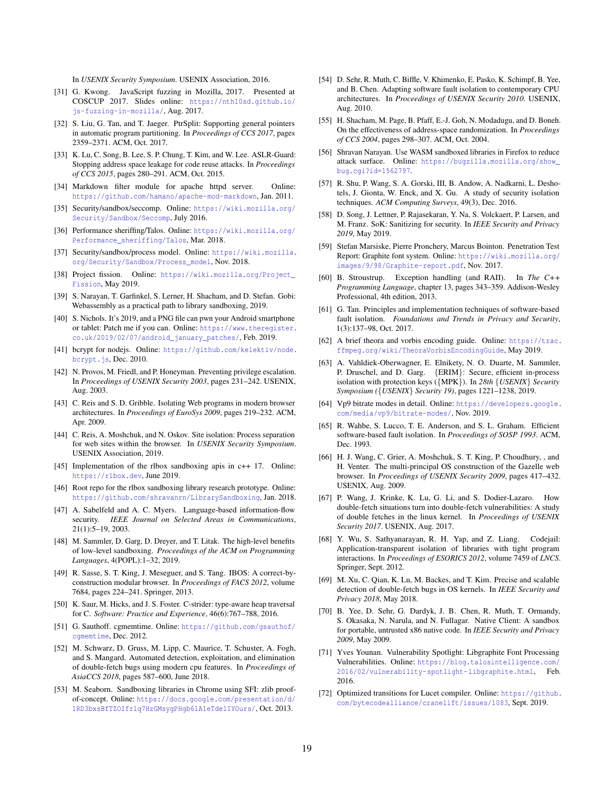In *USENIX Security Symposium*. USENIX Association, 2016.

- <span id="page-18-2"></span>[31] G. Kwong. JavaScript fuzzing in Mozilla, 2017. Presented at COSCUP 2017. Slides online: [https://nth10sd.github.io/](https://nth10sd.github.io/js-fuzzing-in-mozilla/) [js-fuzzing-in-mozilla/](https://nth10sd.github.io/js-fuzzing-in-mozilla/), Aug. 2017.
- <span id="page-18-36"></span>[32] S. Liu, G. Tan, and T. Jaeger. PtrSplit: Supporting general pointers in automatic program partitioning. In *Proceedings of CCS 2017*, pages 2359–2371. ACM, Oct. 2017.
- <span id="page-18-37"></span>[33] K. Lu, C. Song, B. Lee, S. P. Chung, T. Kim, and W. Lee. ASLR-Guard: Stopping address space leakage for code reuse attacks. In *Proceedings of CCS 2015*, pages 280–291. ACM, Oct. 2015.
- <span id="page-18-8"></span>[34] Markdown filter module for apache httpd server. Online: <https://github.com/hamano/apache-mod-markdown>, Jan. 2011.
- <span id="page-18-19"></span>[35] Security/sandbox/seccomp. Online: [https://wiki.mozilla.org/](https://wiki.mozilla.org/Security/Sandbox/Seccomp) [Security/Sandbox/Seccomp](https://wiki.mozilla.org/Security/Sandbox/Seccomp), July 2016.
- <span id="page-18-20"></span>[36] Performance sheriffing/Talos. Online: [https://wiki.mozilla.org/](https://wiki.mozilla.org/Performance_sheriffing/Talos) [Performance\\_sheriffing/Talos](https://wiki.mozilla.org/Performance_sheriffing/Talos), Mar. 2018.
- <span id="page-18-0"></span>[37] Security/sandbox/process model. Online: [https://wiki.mozilla.](https://wiki.mozilla.org/Security/Sandbox/Process_model) [org/Security/Sandbox/Process\\_model](https://wiki.mozilla.org/Security/Sandbox/Process_model), Nov. 2018.
- <span id="page-18-25"></span>[38] Project fission. Online: [https://wiki.mozilla.org/Project\\_](https://wiki.mozilla.org/Project_Fission) [Fission](https://wiki.mozilla.org/Project_Fission), May 2019.
- <span id="page-18-38"></span>[39] S. Narayan, T. Garfinkel, S. Lerner, H. Shacham, and D. Stefan. Gobi: Webassembly as a practical path to library sandboxing, 2019.
- <span id="page-18-3"></span>[40] S. Nichols. It's 2019, and a PNG file can pwn your Android smartphone or tablet: Patch me if you can. Online: [https://www.theregister.](https://www.theregister.co.uk/2019/02/07/android_january_patches/) [co.uk/2019/02/07/android\\_january\\_patches/](https://www.theregister.co.uk/2019/02/07/android_january_patches/), Feb. 2019.
- <span id="page-18-9"></span>[41] bcrypt for nodejs. Online: [https://github.com/kelektiv/node.](https://github.com/kelektiv/node.bcrypt.js) [bcrypt.js](https://github.com/kelektiv/node.bcrypt.js), Dec. 2010.
- <span id="page-18-24"></span>[42] N. Provos, M. Friedl, and P. Honeyman. Preventing privilege escalation. In *Proceedings of USENIX Security 2003*, pages 231–242. USENIX, Aug. 2003.
- <span id="page-18-1"></span>[43] C. Reis and S. D. Gribble. Isolating Web programs in modern browser architectures. In *Proceedings of EuroSys 2009*, pages 219–232. ACM, Apr. 2009.
- <span id="page-18-4"></span>[44] C. Reis, A. Moshchuk, and N. Oskov. Site isolation: Process separation for web sites within the browser. In *USENIX Security Symposium*. USENIX Association, 2019.
- <span id="page-18-11"></span>[45] Implementation of the rlbox sandboxing apis in c++ 17. Online: <https://rlbox.dev>, June 2019.
- <span id="page-18-10"></span>[46] Root repo for the rlbox sandboxing library research prototype. Online: <https://github.com/shravanrn/LibrarySandboxing>, Jan. 2018.
- <span id="page-18-16"></span>[47] A. Sabelfeld and A. C. Myers. Language-based information-flow security. *IEEE Journal on Selected Areas in Communications*, 21(1):5–19, 2003.
- <span id="page-18-30"></span>[48] M. Sammler, D. Garg, D. Dreyer, and T. Litak. The high-level benefits of low-level sandboxing. *Proceedings of the ACM on Programming Languages*, 4(POPL):1–32, 2019.
- <span id="page-18-26"></span>[49] R. Sasse, S. T. King, J. Meseguer, and S. Tang. IBOS: A correct-byconstruction modular browser. In *Proceedings of FACS 2012*, volume 7684, pages 224–241. Springer, 2013.
- <span id="page-18-35"></span>[50] K. Saur, M. Hicks, and J. S. Foster. C-strider: type-aware heap traversal for C. *Software: Practice and Experience*, 46(6):767–788, 2016.
- <span id="page-18-21"></span>[51] G. Sauthoff. cgmemtime. Online: [https://github.com/gsauthof/](https://github.com/gsauthof/cgmemtime) camemtime, Dec. 2012.
- <span id="page-18-13"></span>[52] M. Schwarz, D. Gruss, M. Lipp, C. Maurice, T. Schuster, A. Fogh, and S. Mangard. Automated detection, exploitation, and elimination of double-fetch bugs using modern cpu features. In *Proceedings of AsiaCCS 2018*, pages 587–600, June 2018.
- <span id="page-18-28"></span>[53] M. Seaborn. Sandboxing libraries in Chrome using SFI: zlib proofof-concept. Online: [https://docs.google.com/presentation/d/](https://docs.google.com/presentation/d/1RD3bxsBfTZOIfrlq7HzGMsygPHgb61A1eTdelIYOurs/) [1RD3bxsBfTZOIfrlq7HzGMsygPHgb61A1eTdelIYOurs/](https://docs.google.com/presentation/d/1RD3bxsBfTZOIfrlq7HzGMsygPHgb61A1eTdelIYOurs/), Oct. 2013.
- <span id="page-18-5"></span>[54] D. Sehr, R. Muth, C. Biffle, V. Khimenko, E. Pasko, K. Schimpf, B. Yee, and B. Chen. Adapting software fault isolation to contemporary CPU architectures. In *Proceedings of USENIX Security 2010*. USENIX, Aug. 2010.
- <span id="page-18-12"></span>[55] H. Shacham, M. Page, B. Pfaff, E.-J. Goh, N. Modadugu, and D. Boneh. On the effectiveness of address-space randomization. In *Proceedings of CCS 2004*, pages 298–307. ACM, Oct. 2004.
- <span id="page-18-7"></span>[56] Shravan Narayan. Use WASM sandboxed libraries in Firefox to reduce attack surface. Online: [https://bugzilla.mozilla.org/show\\_](https://bugzilla.mozilla.org/show_bug.cgi?id=1562797) [bug.cgi?id=1562797](https://bugzilla.mozilla.org/show_bug.cgi?id=1562797).
- <span id="page-18-32"></span>[57] R. Shu, P. Wang, S. A. Gorski, III, B. Andow, A. Nadkarni, L. Deshotels, J. Gionta, W. Enck, and X. Gu. A study of security isolation techniques. *ACM Computing Surveys*, 49(3), Dec. 2016.
- <span id="page-18-34"></span>[58] D. Song, J. Lettner, P. Rajasekaran, Y. Na, S. Volckaert, P. Larsen, and M. Franz. SoK: Sanitizing for security. In *IEEE Security and Privacy 2019*, May 2019.
- <span id="page-18-40"></span>[59] Stefan Marsiske, Pierre Pronchery, Marcus Bointon. Penetration Test Report: Graphite font system. Online: [https://wiki.mozilla.org/](https://wiki.mozilla.org/images/9/98/Graphite-report.pdf) [images/9/98/Graphite-report.pdf](https://wiki.mozilla.org/images/9/98/Graphite-report.pdf), Nov. 2017.
- <span id="page-18-17"></span>[60] B. Stroustrup. Exception handling (and RAII). In *The C++ Programming Language*, chapter 13, pages 343–359. Addison-Wesley Professional, 4th edition, 2013.
- <span id="page-18-33"></span>[61] G. Tan. Principles and implementation techniques of software-based fault isolation. *Foundations and Trends in Privacy and Security*, 1(3):137–98, Oct. 2017.
- <span id="page-18-22"></span>[62] A brief theora and vorbis encoding guide. Online: [https://trac.](https://trac.ffmpeg.org/wiki/TheoraVorbisEncodingGuide) [ffmpeg.org/wiki/TheoraVorbisEncodingGuide](https://trac.ffmpeg.org/wiki/TheoraVorbisEncodingGuide), May 2019.
- <span id="page-18-31"></span>[63] A. Vahldiek-Oberwagner, E. Elnikety, N. O. Duarte, M. Sammler, P. Druschel, and D. Garg. {ERIM}: Secure, efficient in-process isolation with protection keys ({MPK}). In *28th* {*USENIX*} *Security Symposium (*{*USENIX*} *Security 19)*, pages 1221–1238, 2019.
- <span id="page-18-23"></span>[64] Vp9 bitrate modes in detail. Online: [https://developers.google.](https://developers.google.com/media/vp9/bitrate-modes/) [com/media/vp9/bitrate-modes/](https://developers.google.com/media/vp9/bitrate-modes/), Nov. 2019.
- <span id="page-18-18"></span>[65] R. Wahbe, S. Lucco, T. E. Anderson, and S. L. Graham. Efficient software-based fault isolation. In *Proceedings of SOSP 1993*. ACM, Dec. 1993.
- <span id="page-18-27"></span>[66] H. J. Wang, C. Grier, A. Moshchuk, S. T. King, P. Choudhury, , and H. Venter. The multi-principal OS construction of the Gazelle web browser. In *Proceedings of USENIX Security 2009*, pages 417–432. USENIX, Aug. 2009.
- <span id="page-18-14"></span>[67] P. Wang, J. Krinke, K. Lu, G. Li, and S. Dodier-Lazaro. How double-fetch situations turn into double-fetch vulnerabilities: A study of double fetches in the linux kernel. In *Proceedings of USENIX Security 2017*. USENIX, Aug. 2017.
- <span id="page-18-29"></span>[68] Y. Wu, S. Sathyanarayan, R. H. Yap, and Z. Liang. Codejail: Application-transparent isolation of libraries with tight program interactions. In *Proceedings of ESORICS 2012*, volume 7459 of *LNCS*. Springer, Sept. 2012.
- <span id="page-18-15"></span>[69] M. Xu, C. Qian, K. Lu, M. Backes, and T. Kim. Precise and scalable detection of double-fetch bugs in OS kernels. In *IEEE Security and Privacy 2018*, May 2018.
- <span id="page-18-6"></span>[70] B. Yee, D. Sehr, G. Dardyk, J. B. Chen, R. Muth, T. Ormandy, S. Okasaka, N. Narula, and N. Fullagar. Native Client: A sandbox for portable, untrusted x86 native code. In *IEEE Security and Privacy 2009*, May 2009.
- <span id="page-18-41"></span>[71] Yves Younan. Vulnerability Spotlight: Libgraphite Font Processing Vulnerabilities. Online: [https://blog.talosintelligence.com/](https://blog.talosintelligence.com/2016/02/vulnerability-spotlight-libgraphite.html) [2016/02/vulnerability-spotlight-libgraphite.html](https://blog.talosintelligence.com/2016/02/vulnerability-spotlight-libgraphite.html), Feb. 2016.
- <span id="page-18-39"></span>[72] Optimized transitions for Lucet compiler. Online: [https://github.](https://github.com/bytecodealliance/cranelift/issues/1083) [com/bytecodealliance/cranelift/issues/1083](https://github.com/bytecodealliance/cranelift/issues/1083), Sept. 2019.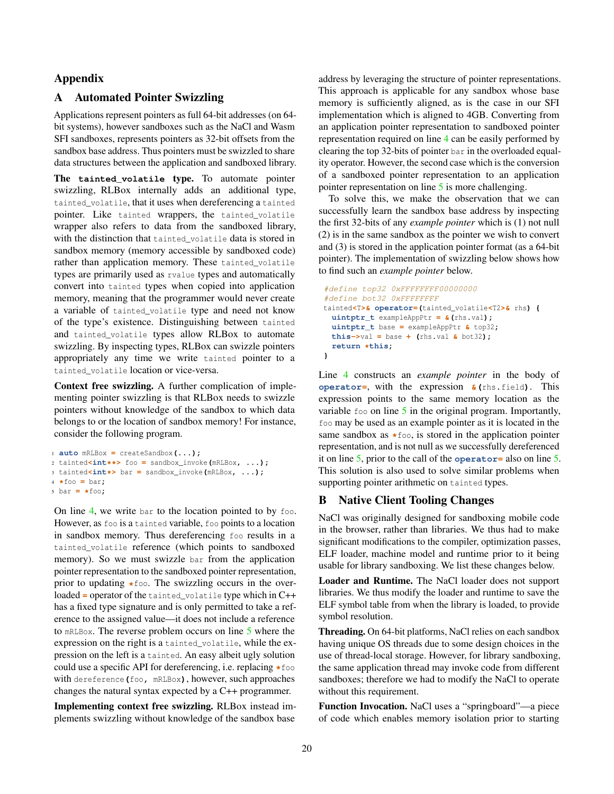### Appendix

### <span id="page-19-0"></span>A Automated Pointer Swizzling

Applications represent pointers as full 64-bit addresses (on 64 bit systems), however sandboxes such as the NaCl and Wasm SFI sandboxes, represents pointers as 32-bit offsets from the sandbox base address. Thus pointers must be swizzled to share data structures between the application and sandboxed library.

The **tainted\_volatile** type. To automate pointer swizzling, RLBox internally adds an additional type, tainted\_volatile, that it uses when dereferencing a tainted pointer. Like tainted wrappers, the tainted\_volatile wrapper also refers to data from the sandboxed library, with the distinction that tainted volatile data is stored in sandbox memory (memory accessible by sandboxed code) rather than application memory. These tainted\_volatile types are primarily used as rvalue types and automatically convert into tainted types when copied into application memory, meaning that the programmer would never create a variable of tainted\_volatile type and need not know of the type's existence. Distinguishing between tainted and tainted\_volatile types allow RLBox to automate swizzling. By inspecting types, RLBox can swizzle pointers appropriately any time we write tainted pointer to a tainted\_volatile location or vice-versa.

Context free swizzling. A further complication of implementing pointer swizzling is that RLBox needs to swizzle pointers without knowledge of the sandbox to which data belongs to or the location of sandbox memory! For instance, consider the following program.

```
1 auto mRLBox = createSandbox(...);
2 tainted<int**> foo = sandbox_invoke(mRLBox, ...);
3 tainted<int*> bar = sandbox_invoke(mRLBox, ...);
4 *foo = bar;
```

```
5 bar = *foo;
```
On line [4,](#page-19-0) we write bar to the location pointed to by foo. However, as foo is a tainted variable, foo points to a location in sandbox memory. Thus dereferencing foo results in a tainted\_volatile reference (which points to sandboxed memory). So we must swizzle bar from the application pointer representation to the sandboxed pointer representation, prior to updating **\***foo. The swizzling occurs in the overloaded **=** operator of the tainted\_volatile type which in C++ has a fixed type signature and is only permitted to take a reference to the assigned value—it does not include a reference to mRLBox. The reverse problem occurs on line [5](#page-19-0) where the expression on the right is a tainted\_volatile, while the expression on the left is a tainted. An easy albeit ugly solution could use a specific API for dereferencing, i.e. replacing **\***foo with dereference**(**foo**,** mRLBox**)**, however, such approaches changes the natural syntax expected by a C++ programmer.

Implementing context free swizzling. RLBox instead implements swizzling without knowledge of the sandbox base

address by leveraging the structure of pointer representations. This approach is applicable for any sandbox whose base memory is sufficiently aligned, as is the case in our SFI implementation which is aligned to 4GB. Converting from an application pointer representation to sandboxed pointer representation required on line [4](#page-19-0) can be easily performed by clearing the top 32-bits of pointer bar in the overloaded equality operator. However, the second case which is the conversion of a sandboxed pointer representation to an application pointer representation on line [5](#page-19-0) is more challenging.

To solve this, we make the observation that we can successfully learn the sandbox base address by inspecting the first 32-bits of any *example pointer* which is (1) not null (2) is in the same sandbox as the pointer we wish to convert and (3) is stored in the application pointer format (as a 64-bit pointer). The implementation of swizzling below shows how to find such an *example pointer* below.

```
#define top32 0xFFFFFFFF00000000
#define bot32 0xFFFFFFFF
tainted<T>& operator=(tainted_volatile<T2>& rhs) {
 uintptr_t exampleAppPtr = &(rhs.val);
 uintptr_t base = exampleAppPtr & top32;
 this->val = base + (rhs.val \epsilon bot32);
 return *this;
}
```
Line [4](#page-19-0) constructs an *example pointer* in the body of **operator=**, with the expression **&(**rhs**.**field**)**. This expression points to the same memory location as the variable  $f \circ \circ$  on line  $5$  in the original program. Importantly, foo may be used as an example pointer as it is located in the same sandbox as **\***foo, is stored in the application pointer representation, and is not null as we successfully dereferenced it on line [5,](#page-19-0) prior to the call of the **operator=** also on line [5.](#page-19-0) This solution is also used to solve similar problems when supporting pointer arithmetic on tainted types.

### <span id="page-19-1"></span>B Native Client Tooling Changes

NaCl was originally designed for sandboxing mobile code in the browser, rather than libraries. We thus had to make significant modifications to the compiler, optimization passes, ELF loader, machine model and runtime prior to it being usable for library sandboxing. We list these changes below.

Loader and Runtime. The NaCl loader does not support libraries. We thus modify the loader and runtime to save the ELF symbol table from when the library is loaded, to provide symbol resolution.

Threading. On 64-bit platforms, NaCl relies on each sandbox having unique OS threads due to some design choices in the use of thread-local storage. However, for library sandboxing, the same application thread may invoke code from different sandboxes; therefore we had to modify the NaCl to operate without this requirement.

Function Invocation. NaCl uses a "springboard"—a piece of code which enables memory isolation prior to starting